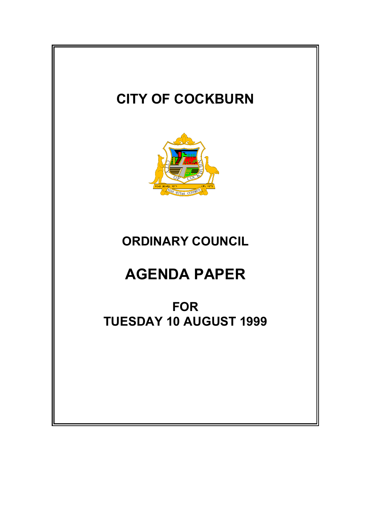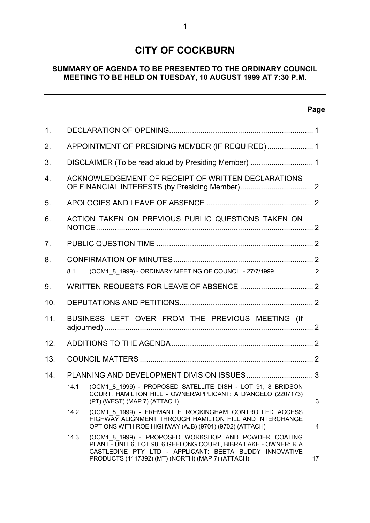# **CITY OF COCKBURN**

## **SUMMARY OF AGENDA TO BE PRESENTED TO THE ORDINARY COUNCIL MEETING TO BE HELD ON TUESDAY, 10 AUGUST 1999 AT 7:30 P.M.**

## **Page**

 $\overline{a}$ 

| 1 <sub>1</sub> |                                                  |                                                                                                                                                                                                                                        |                |  |  |  |  |
|----------------|--------------------------------------------------|----------------------------------------------------------------------------------------------------------------------------------------------------------------------------------------------------------------------------------------|----------------|--|--|--|--|
| 2.             |                                                  | APPOINTMENT OF PRESIDING MEMBER (IF REQUIRED) 1                                                                                                                                                                                        |                |  |  |  |  |
| 3.             |                                                  |                                                                                                                                                                                                                                        |                |  |  |  |  |
| 4.             |                                                  | ACKNOWLEDGEMENT OF RECEIPT OF WRITTEN DECLARATIONS                                                                                                                                                                                     |                |  |  |  |  |
| 5.             |                                                  |                                                                                                                                                                                                                                        |                |  |  |  |  |
| 6.             |                                                  | ACTION TAKEN ON PREVIOUS PUBLIC QUESTIONS TAKEN ON                                                                                                                                                                                     |                |  |  |  |  |
| 7 <sub>1</sub> |                                                  |                                                                                                                                                                                                                                        |                |  |  |  |  |
| 8.             |                                                  |                                                                                                                                                                                                                                        |                |  |  |  |  |
|                | 8.1                                              | (OCM1 8 1999) - ORDINARY MEETING OF COUNCIL - 27/7/1999                                                                                                                                                                                | 2              |  |  |  |  |
| 9.             |                                                  |                                                                                                                                                                                                                                        |                |  |  |  |  |
| 10.            |                                                  |                                                                                                                                                                                                                                        |                |  |  |  |  |
| 11.            | BUSINESS LEFT OVER FROM THE PREVIOUS MEETING (If |                                                                                                                                                                                                                                        |                |  |  |  |  |
| 12.            |                                                  |                                                                                                                                                                                                                                        |                |  |  |  |  |
| 13.            |                                                  |                                                                                                                                                                                                                                        |                |  |  |  |  |
| 14.            |                                                  |                                                                                                                                                                                                                                        |                |  |  |  |  |
|                | 14.1                                             | (OCM1 8 1999) - PROPOSED SATELLITE DISH - LOT 91, 8 BRIDSON<br>COURT, HAMILTON HILL - OWNER/APPLICANT: A D'ANGELO (2207173)<br>(PT) (WEST) (MAP 7) (ATTACH)                                                                            | $\mathbf{3}$   |  |  |  |  |
|                | 14.2                                             | (OCM1 8 1999) - FREMANTLE ROCKINGHAM CONTROLLED ACCESS<br>HIGHWAY ALIGNMENT THROUGH HAMILTON HILL AND INTERCHANGE<br>OPTIONS WITH ROE HIGHWAY (AJB) (9701) (9702) (ATTACH)                                                             | $\overline{4}$ |  |  |  |  |
|                | 14.3                                             | (OCM1_8_1999) - PROPOSED WORKSHOP AND POWDER COATING<br>PLANT - UNIT 6, LOT 98, 6 GEELONG COURT, BIBRA LAKE - OWNER: R A<br>CASTLEDINE PTY LTD - APPLICANT: BEETA BUDDY INNOVATIVE<br>PRODUCTS (1117392) (MT) (NORTH) (MAP 7) (ATTACH) | 17             |  |  |  |  |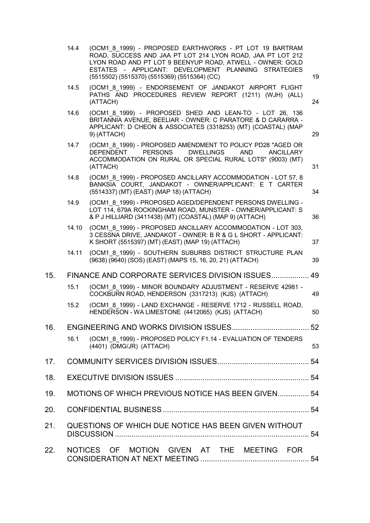|     | 14.4  | (OCM1 8 1999) - PROPOSED EARTHWORKS - PT LOT 19 BARTRAM<br>ROAD, SUCCESS AND JAA PT LOT 214 LYON ROAD, JAA PT LOT 212<br>LYON ROAD AND PT LOT 9 BEENYUP ROAD, ATWELL - OWNER: GOLD<br>ESTATES - APPLICANT: DEVELOPMENT PLANNING STRATEGIES<br>(5515502) (5515370) (5515369) (5515364) (CC) | 19 |
|-----|-------|--------------------------------------------------------------------------------------------------------------------------------------------------------------------------------------------------------------------------------------------------------------------------------------------|----|
|     | 14.5  | (OCM1 8 1999) - ENDORSEMENT OF JANDAKOT AIRPORT FLIGHT<br>PATHS AND PROCEDURES REVIEW REPORT (1211) (WJH) (ALL)<br>(ATTACH)                                                                                                                                                                | 24 |
|     | 14.6  | (OCM1 8 1999) - PROPOSED SHED AND LEAN-TO - LOT 26, 136<br>BRITANNIA AVENUE, BEELIAR - OWNER: C PARATORE & D CARARRA -<br>APPLICANT: D CHEON & ASSOCIATES (3318253) (MT) (COASTAL) (MAP<br>9) (ATTACH)                                                                                     | 29 |
|     | 14.7  | (OCM1 8 1999) - PROPOSED AMENDMENT TO POLICY PD28 "AGED OR<br><b>PERSONS</b><br><b>DEPENDENT</b><br><b>DWELLINGS</b><br><b>AND</b><br><b>ANCILLARY</b><br>ACCOMMODATION ON RURAL OR SPECIAL RURAL LOTS" (9003) (MT)<br>(ATTACH)                                                            | 31 |
|     | 14.8  | (OCM1 8 1999) - PROPOSED ANCILLARY ACCOMMODATION - LOT 57, 8<br>BANKSIA COURT, JANDAKOT - OWNER/APPLICANT: E T CARTER<br>(5514337) (MT) (EAST) (MAP 18) (ATTACH)                                                                                                                           | 34 |
|     | 14.9  | (OCM1 8 1999) - PROPOSED AGED/DEPENDENT PERSONS DWELLING -<br>LOT 114, 679A ROCKINGHAM ROAD, MUNSTER - OWNER/APPLICANT: S<br>& P J HILLIARD (3411438) (MT) (COASTAL) (MAP 9) (ATTACH)                                                                                                      | 36 |
|     | 14.10 | (OCM1 8 1999) - PROPOSED ANCILLARY ACCOMMODATION - LOT 303,<br>3 CESSNA DRIVE, JANDAKOT - OWNER: B R & G L SHORT - APPLICANT:<br>K SHORT (5515397) (MT) (EAST) (MAP 19) (ATTACH)                                                                                                           | 37 |
|     | 14.11 | (OCM1 8 1999) - SOUTHERN SUBURBS DISTRICT STRUCTURE PLAN<br>(9638) (9640) (SOS) (EAST) (MAPS 15, 16, 20, 21) (ATTACH)                                                                                                                                                                      | 39 |
| 15. |       | FINANCE AND CORPORATE SERVICES DIVISION ISSUES                                                                                                                                                                                                                                             | 49 |
|     | 15.1  | (OCM1 8 1999) - MINOR BOUNDARY ADJUSTMENT - RESERVE 42981 -<br>COCKBURN ROAD, HENDERSON (3317213) (KJS) (ATTACH)                                                                                                                                                                           | 49 |
|     | 15.2  | (OCM1 8 1999) - LAND EXCHANGE - RESERVE 1712 - RUSSELL ROAD,<br>HENDERSON - WA LIMESTONE (4412065) (KJS) (ATTACH)                                                                                                                                                                          | 50 |
| 16. |       |                                                                                                                                                                                                                                                                                            |    |
|     | 16.1  | (OCM1_8_1999) - PROPOSED POLICY F1.14 - EVALUATION OF TENDERS<br>(4401) (DMG/JR) (ATTACH)                                                                                                                                                                                                  | 53 |
| 17. |       |                                                                                                                                                                                                                                                                                            |    |
| 18. |       |                                                                                                                                                                                                                                                                                            |    |
| 19. |       | MOTIONS OF WHICH PREVIOUS NOTICE HAS BEEN GIVEN 54                                                                                                                                                                                                                                         |    |
| 20. |       |                                                                                                                                                                                                                                                                                            |    |
| 21. |       | QUESTIONS OF WHICH DUE NOTICE HAS BEEN GIVEN WITHOUT                                                                                                                                                                                                                                       |    |
| 22. |       | NOTICES OF MOTION GIVEN AT THE MEETING FOR                                                                                                                                                                                                                                                 |    |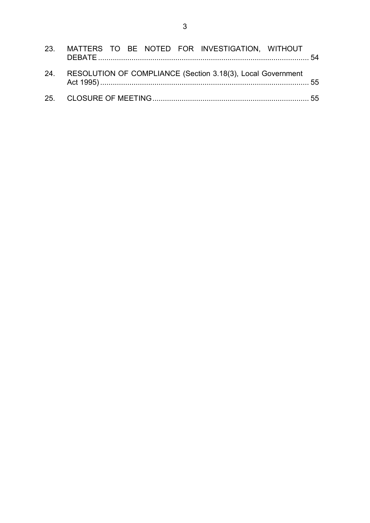|  |  |  | 23. MATTERS TO BE NOTED FOR INVESTIGATION, WITHOUT              |  |
|--|--|--|-----------------------------------------------------------------|--|
|  |  |  | 24. RESOLUTION OF COMPLIANCE (Section 3.18(3), Local Government |  |
|  |  |  |                                                                 |  |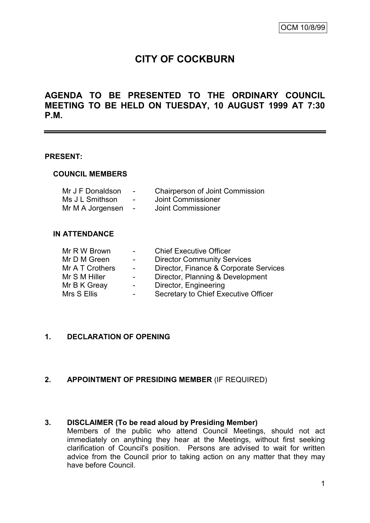# **CITY OF COCKBURN**

# **AGENDA TO BE PRESENTED TO THE ORDINARY COUNCIL MEETING TO BE HELD ON TUESDAY, 10 AUGUST 1999 AT 7:30 P.M.**

#### **PRESENT:**

#### **COUNCIL MEMBERS**

| Mr J F Donaldson | $\sim$ | <b>Chairperson of Joint Commission</b> |
|------------------|--------|----------------------------------------|
| Ms J L Smithson  | $\sim$ | Joint Commissioner                     |
| Mr M A Jorgensen | $\sim$ | Joint Commissioner                     |

#### **IN ATTENDANCE**

| Mr R W Brown    | $\sim$                   | <b>Chief Executive Officer</b>         |
|-----------------|--------------------------|----------------------------------------|
| Mr D M Green    | $\sim$                   | <b>Director Community Services</b>     |
| Mr A T Crothers | $\sim$                   | Director, Finance & Corporate Services |
| Mr S M Hiller   | $\sim$                   | Director, Planning & Development       |
| Mr B K Greay    | $\overline{\phantom{a}}$ | Director, Engineering                  |
| Mrs S Ellis     | $\sim$                   | Secretary to Chief Executive Officer   |

#### **1. DECLARATION OF OPENING**

#### **2. APPOINTMENT OF PRESIDING MEMBER** (IF REQUIRED)

#### **3. DISCLAIMER (To be read aloud by Presiding Member)**

Members of the public who attend Council Meetings, should not act immediately on anything they hear at the Meetings, without first seeking clarification of Council's position. Persons are advised to wait for written advice from the Council prior to taking action on any matter that they may have before Council.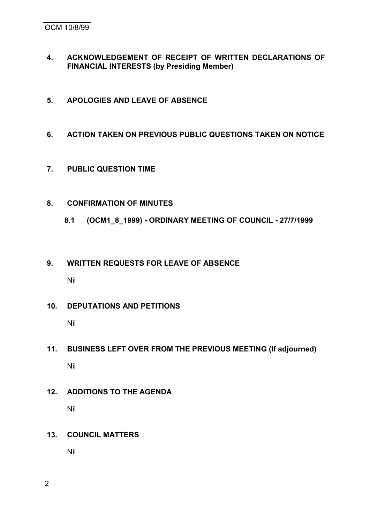- **4. ACKNOWLEDGEMENT OF RECEIPT OF WRITTEN DECLARATIONS OF FINANCIAL INTERESTS (by Presiding Member)**
- **5. APOLOGIES AND LEAVE OF ABSENCE**
- **6. ACTION TAKEN ON PREVIOUS PUBLIC QUESTIONS TAKEN ON NOTICE**
- **7. PUBLIC QUESTION TIME**
- **8. CONFIRMATION OF MINUTES**
	- **8.1 (OCM1\_8\_1999) - ORDINARY MEETING OF COUNCIL - 27/7/1999**
- **9. WRITTEN REQUESTS FOR LEAVE OF ABSENCE**

Nil

**10. DEPUTATIONS AND PETITIONS**

Nil

- **11. BUSINESS LEFT OVER FROM THE PREVIOUS MEETING (If adjourned)** Nil
- **12. ADDITIONS TO THE AGENDA** Nil
- **13. COUNCIL MATTERS**

Nil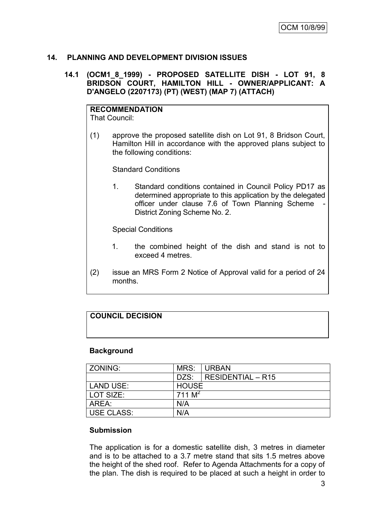## **14. PLANNING AND DEVELOPMENT DIVISION ISSUES**

#### **14.1 (OCM1\_8\_1999) - PROPOSED SATELLITE DISH - LOT 91, 8 BRIDSON COURT, HAMILTON HILL - OWNER/APPLICANT: A D'ANGELO (2207173) (PT) (WEST) (MAP 7) (ATTACH)**

**RECOMMENDATION** That Council:

(1) approve the proposed satellite dish on Lot 91, 8 Bridson Court, Hamilton Hill in accordance with the approved plans subject to the following conditions:

Standard Conditions

1. Standard conditions contained in Council Policy PD17 as determined appropriate to this application by the delegated officer under clause 7.6 of Town Planning Scheme District Zoning Scheme No. 2.

Special Conditions

- 1. the combined height of the dish and stand is not to exceed 4 metres.
- (2) issue an MRS Form 2 Notice of Approval valid for a period of 24 months.

## **COUNCIL DECISION**

#### **Background**

| ZONING:    | MRS:         | <b>URBAN</b>             |
|------------|--------------|--------------------------|
|            | DZS:         | <b>RESIDENTIAL - R15</b> |
| LAND USE:  | <b>HOUSE</b> |                          |
| LOT SIZE:  | 711 $M^2$    |                          |
| AREA:      | N/A          |                          |
| USE CLASS: | N/A          |                          |

#### **Submission**

The application is for a domestic satellite dish, 3 metres in diameter and is to be attached to a 3.7 metre stand that sits 1.5 metres above the height of the shed roof. Refer to Agenda Attachments for a copy of the plan. The dish is required to be placed at such a height in order to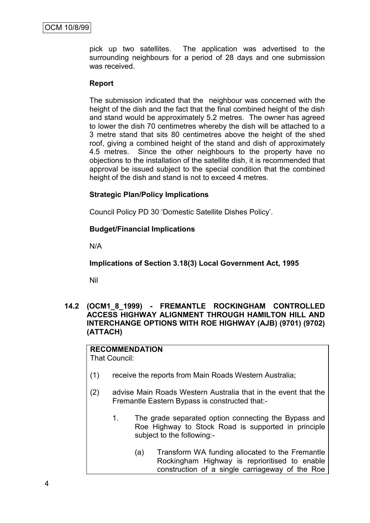pick up two satellites. The application was advertised to the surrounding neighbours for a period of 28 days and one submission was received.

#### **Report**

The submission indicated that the neighbour was concerned with the height of the dish and the fact that the final combined height of the dish and stand would be approximately 5.2 metres. The owner has agreed to lower the dish 70 centimetres whereby the dish will be attached to a 3 metre stand that sits 80 centimetres above the height of the shed roof, giving a combined height of the stand and dish of approximately 4.5 metres. Since the other neighbours to the property have no objections to the installation of the satellite dish, it is recommended that approval be issued subject to the special condition that the combined height of the dish and stand is not to exceed 4 metres.

#### **Strategic Plan/Policy Implications**

Council Policy PD 30 "Domestic Satellite Dishes Policy".

#### **Budget/Financial Implications**

N/A

**Implications of Section 3.18(3) Local Government Act, 1995**

Nil

**14.2 (OCM1\_8\_1999) - FREMANTLE ROCKINGHAM CONTROLLED ACCESS HIGHWAY ALIGNMENT THROUGH HAMILTON HILL AND INTERCHANGE OPTIONS WITH ROE HIGHWAY (AJB) (9701) (9702) (ATTACH)**

# **RECOMMENDATION**

That Council:

- (1) receive the reports from Main Roads Western Australia;
- (2) advise Main Roads Western Australia that in the event that the Fremantle Eastern Bypass is constructed that:-
	- 1. The grade separated option connecting the Bypass and Roe Highway to Stock Road is supported in principle subject to the following:-
		- (a) Transform WA funding allocated to the Fremantle Rockingham Highway is reprioritised to enable construction of a single carriageway of the Roe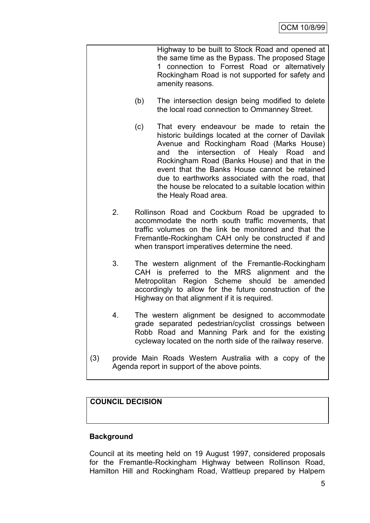|     |                                                                                                          |     | Highway to be built to Stock Road and opened at<br>the same time as the Bypass. The proposed Stage<br>1 connection to Forrest Road or alternatively<br>Rockingham Road is not supported for safety and<br>amenity reasons.                                                                                                                                                                                                             |  |  |
|-----|----------------------------------------------------------------------------------------------------------|-----|----------------------------------------------------------------------------------------------------------------------------------------------------------------------------------------------------------------------------------------------------------------------------------------------------------------------------------------------------------------------------------------------------------------------------------------|--|--|
|     |                                                                                                          | (b) | The intersection design being modified to delete<br>the local road connection to Ommanney Street.                                                                                                                                                                                                                                                                                                                                      |  |  |
|     |                                                                                                          | (c) | That every endeavour be made to retain the<br>historic buildings located at the corner of Davilak<br>Avenue and Rockingham Road (Marks House)<br>intersection of Healy Road<br>the<br>and<br>and<br>Rockingham Road (Banks House) and that in the<br>event that the Banks House cannot be retained<br>due to earthworks associated with the road, that<br>the house be relocated to a suitable location within<br>the Healy Road area. |  |  |
|     | 2.                                                                                                       |     | Rollinson Road and Cockburn Road be upgraded to<br>accommodate the north south traffic movements, that<br>traffic volumes on the link be monitored and that the<br>Fremantle-Rockingham CAH only be constructed if and<br>when transport imperatives determine the need.                                                                                                                                                               |  |  |
|     | 3.                                                                                                       |     | The western alignment of the Fremantle-Rockingham<br>CAH is preferred to the MRS alignment and the<br>Metropolitan Region Scheme should be amended<br>accordingly to allow for the future construction of the<br>Highway on that alignment if it is required.                                                                                                                                                                          |  |  |
|     | 4.                                                                                                       |     | The western alignment be designed to accommodate<br>grade separated pedestrian/cyclist crossings between<br>Robb Road and Manning Park and for the existing<br>cycleway located on the north side of the railway reserve.                                                                                                                                                                                                              |  |  |
| (3) | provide Main Roads Western Australia with a copy of the<br>Agenda report in support of the above points. |     |                                                                                                                                                                                                                                                                                                                                                                                                                                        |  |  |

# **COUNCIL DECISION**

# **Background**

Council at its meeting held on 19 August 1997, considered proposals for the Fremantle-Rockingham Highway between Rollinson Road, Hamilton Hill and Rockingham Road, Wattleup prepared by Halpern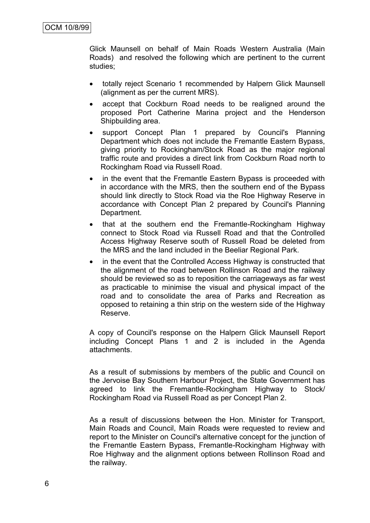Glick Maunsell on behalf of Main Roads Western Australia (Main Roads) and resolved the following which are pertinent to the current studies;

- totally reject Scenario 1 recommended by Halpern Glick Maunsell (alignment as per the current MRS).
- accept that Cockburn Road needs to be realigned around the proposed Port Catherine Marina project and the Henderson Shipbuilding area.
- support Concept Plan 1 prepared by Council's Planning Department which does not include the Fremantle Eastern Bypass, giving priority to Rockingham/Stock Road as the major regional traffic route and provides a direct link from Cockburn Road north to Rockingham Road via Russell Road.
- in the event that the Fremantle Eastern Bypass is proceeded with in accordance with the MRS, then the southern end of the Bypass should link directly to Stock Road via the Roe Highway Reserve in accordance with Concept Plan 2 prepared by Council's Planning Department.
- that at the southern end the Fremantle-Rockingham Highway connect to Stock Road via Russell Road and that the Controlled Access Highway Reserve south of Russell Road be deleted from the MRS and the land included in the Beeliar Regional Park*.*
- in the event that the Controlled Access Highway is constructed that the alignment of the road between Rollinson Road and the railway should be reviewed so as to reposition the carriageways as far west as practicable to minimise the visual and physical impact of the road and to consolidate the area of Parks and Recreation as opposed to retaining a thin strip on the western side of the Highway Reserve.

A copy of Council's response on the Halpern Glick Maunsell Report including Concept Plans 1 and 2 is included in the Agenda attachments.

As a result of submissions by members of the public and Council on the Jervoise Bay Southern Harbour Project, the State Government has agreed to link the Fremantle-Rockingham Highway to Stock/ Rockingham Road via Russell Road as per Concept Plan 2.

As a result of discussions between the Hon. Minister for Transport, Main Roads and Council, Main Roads were requested to review and report to the Minister on Council's alternative concept for the junction of the Fremantle Eastern Bypass, Fremantle-Rockingham Highway with Roe Highway and the alignment options between Rollinson Road and the railway.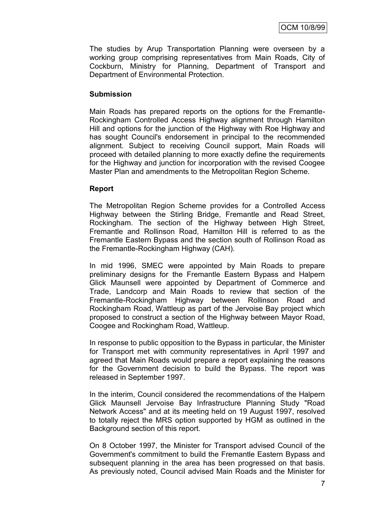The studies by Arup Transportation Planning were overseen by a working group comprising representatives from Main Roads, City of Cockburn, Ministry for Planning, Department of Transport and Department of Environmental Protection.

#### **Submission**

Main Roads has prepared reports on the options for the Fremantle-Rockingham Controlled Access Highway alignment through Hamilton Hill and options for the junction of the Highway with Roe Highway and has sought Council's endorsement in principal to the recommended alignment. Subject to receiving Council support, Main Roads will proceed with detailed planning to more exactly define the requirements for the Highway and junction for incorporation with the revised Coogee Master Plan and amendments to the Metropolitan Region Scheme.

#### **Report**

The Metropolitan Region Scheme provides for a Controlled Access Highway between the Stirling Bridge, Fremantle and Read Street, Rockingham. The section of the Highway between High Street, Fremantle and Rollinson Road, Hamilton Hill is referred to as the Fremantle Eastern Bypass and the section south of Rollinson Road as the Fremantle-Rockingham Highway (CAH).

In mid 1996, SMEC were appointed by Main Roads to prepare preliminary designs for the Fremantle Eastern Bypass and Halpern Glick Maunsell were appointed by Department of Commerce and Trade, Landcorp and Main Roads to review that section of the Fremantle-Rockingham Highway between Rollinson Road and Rockingham Road, Wattleup as part of the Jervoise Bay project which proposed to construct a section of the Highway between Mayor Road, Coogee and Rockingham Road, Wattleup.

In response to public opposition to the Bypass in particular, the Minister for Transport met with community representatives in April 1997 and agreed that Main Roads would prepare a report explaining the reasons for the Government decision to build the Bypass. The report was released in September 1997.

In the interim, Council considered the recommendations of the Halpern Glick Maunsell Jervoise Bay Infrastructure Planning Study "Road Network Access" and at its meeting held on 19 August 1997, resolved to totally reject the MRS option supported by HGM as outlined in the Background section of this report.

On 8 October 1997, the Minister for Transport advised Council of the Government's commitment to build the Fremantle Eastern Bypass and subsequent planning in the area has been progressed on that basis. As previously noted, Council advised Main Roads and the Minister for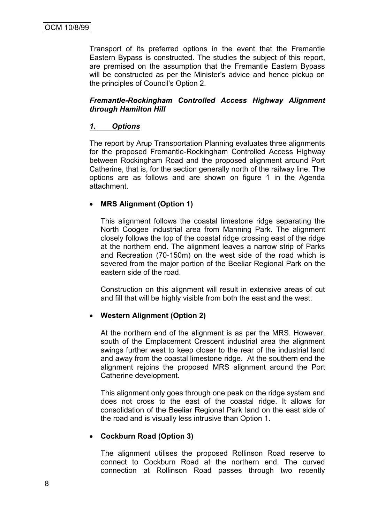Transport of its preferred options in the event that the Fremantle Eastern Bypass is constructed. The studies the subject of this report, are premised on the assumption that the Fremantle Eastern Bypass will be constructed as per the Minister's advice and hence pickup on the principles of Council's Option 2.

#### *Fremantle-Rockingham Controlled Access Highway Alignment through Hamilton Hill*

# *1. Options*

The report by Arup Transportation Planning evaluates three alignments for the proposed Fremantle-Rockingham Controlled Access Highway between Rockingham Road and the proposed alignment around Port Catherine, that is, for the section generally north of the railway line. The options are as follows and are shown on figure 1 in the Agenda attachment.

## **MRS Alignment (Option 1)**

This alignment follows the coastal limestone ridge separating the North Coogee industrial area from Manning Park. The alignment closely follows the top of the coastal ridge crossing east of the ridge at the northern end. The alignment leaves a narrow strip of Parks and Recreation (70-150m) on the west side of the road which is severed from the major portion of the Beeliar Regional Park on the eastern side of the road.

Construction on this alignment will result in extensive areas of cut and fill that will be highly visible from both the east and the west.

#### **Western Alignment (Option 2)**

At the northern end of the alignment is as per the MRS. However, south of the Emplacement Crescent industrial area the alignment swings further west to keep closer to the rear of the industrial land and away from the coastal limestone ridge. At the southern end the alignment rejoins the proposed MRS alignment around the Port Catherine development.

This alignment only goes through one peak on the ridge system and does not cross to the east of the coastal ridge. It allows for consolidation of the Beeliar Regional Park land on the east side of the road and is visually less intrusive than Option 1.

#### **Cockburn Road (Option 3)**

The alignment utilises the proposed Rollinson Road reserve to connect to Cockburn Road at the northern end. The curved connection at Rollinson Road passes through two recently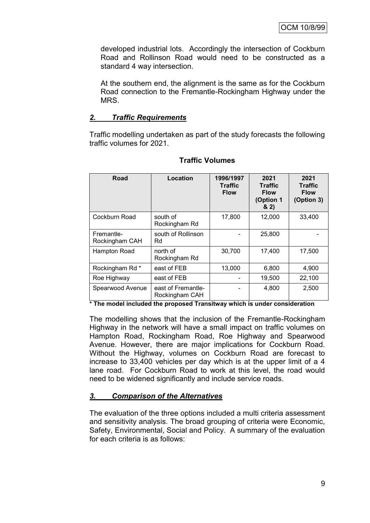developed industrial lots. Accordingly the intersection of Cockburn Road and Rollinson Road would need to be constructed as a standard 4 way intersection.

At the southern end, the alignment is the same as for the Cockburn Road connection to the Fremantle-Rockingham Highway under the MRS.

#### *2. Traffic Requirements*

Traffic modelling undertaken as part of the study forecasts the following traffic volumes for 2021.

| Road                         | Location                             | 1996/1997<br><b>Traffic</b><br><b>Flow</b> | 2021<br><b>Traffic</b><br><b>Flow</b><br>(Option 1<br>82) | 2021<br><b>Traffic</b><br><b>Flow</b><br>(Option 3) |
|------------------------------|--------------------------------------|--------------------------------------------|-----------------------------------------------------------|-----------------------------------------------------|
| Cockburn Road                | south of<br>Rockingham Rd            | 17,800                                     | 12,000                                                    | 33,400                                              |
| Fremantle-<br>Rockingham CAH | south of Rollinson<br>Rd             |                                            | 25,800                                                    |                                                     |
| Hampton Road                 | north of<br>Rockingham Rd            | 30,700                                     | 17,400                                                    | 17,500                                              |
| Rockingham Rd *              | east of FEB                          | 13,000                                     | 6,800                                                     | 4,900                                               |
| Roe Highway                  | east of FEB                          |                                            | 19,500                                                    | 22,100                                              |
| Spearwood Avenue             | east of Fremantle-<br>Rockingham CAH |                                            | 4,800                                                     | 2,500                                               |

## **Traffic Volumes**

**\* The model included the proposed Transitway which is under consideration**

The modelling shows that the inclusion of the Fremantle-Rockingham Highway in the network will have a small impact on traffic volumes on Hampton Road, Rockingham Road, Roe Highway and Spearwood Avenue. However, there are major implications for Cockburn Road. Without the Highway, volumes on Cockburn Road are forecast to increase to 33,400 vehicles per day which is at the upper limit of a 4 lane road. For Cockburn Road to work at this level, the road would need to be widened significantly and include service roads.

## *3. Comparison of the Alternatives*

The evaluation of the three options included a multi criteria assessment and sensitivity analysis. The broad grouping of criteria were Economic, Safety, Environmental, Social and Policy. A summary of the evaluation for each criteria is as follows: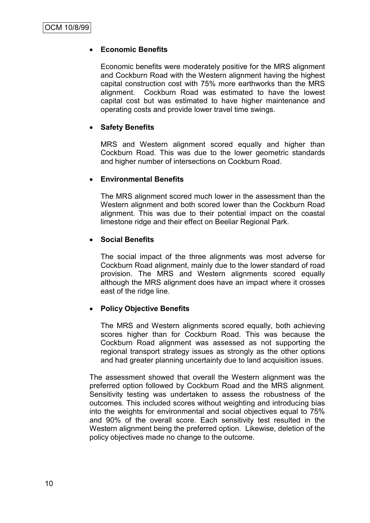## **Economic Benefits**

Economic benefits were moderately positive for the MRS alignment and Cockburn Road with the Western alignment having the highest capital construction cost with 75% more earthworks than the MRS alignment. Cockburn Road was estimated to have the lowest capital cost but was estimated to have higher maintenance and operating costs and provide lower travel time swings.

## **Safety Benefits**

MRS and Western alignment scored equally and higher than Cockburn Road. This was due to the lower geometric standards and higher number of intersections on Cockburn Road.

## **Environmental Benefits**

The MRS alignment scored much lower in the assessment than the Western alignment and both scored lower than the Cockburn Road alignment. This was due to their potential impact on the coastal limestone ridge and their effect on Beeliar Regional Park*.*

## **Social Benefits**

The social impact of the three alignments was most adverse for Cockburn Road alignment, mainly due to the lower standard of road provision. The MRS and Western alignments scored equally although the MRS alignment does have an impact where it crosses east of the ridge line.

## **Policy Objective Benefits**

The MRS and Western alignments scored equally, both achieving scores higher than for Cockburn Road. This was because the Cockburn Road alignment was assessed as not supporting the regional transport strategy issues as strongly as the other options and had greater planning uncertainty due to land acquisition issues.

The assessment showed that overall the Western alignment was the preferred option followed by Cockburn Road and the MRS alignment. Sensitivity testing was undertaken to assess the robustness of the outcomes. This included scores without weighting and introducing bias into the weights for environmental and social objectives equal to 75% and 90% of the overall score. Each sensitivity test resulted in the Western alignment being the preferred option. Likewise, deletion of the policy objectives made no change to the outcome.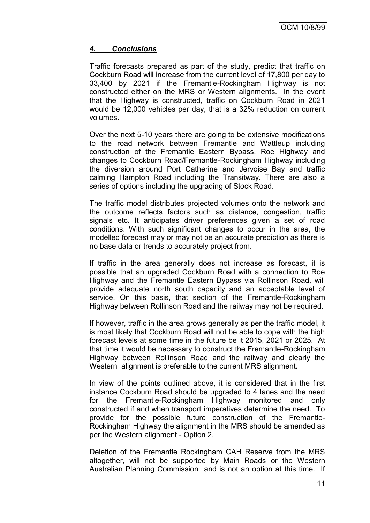## *4. Conclusions*

Traffic forecasts prepared as part of the study, predict that traffic on Cockburn Road will increase from the current level of 17,800 per day to 33,400 by 2021 if the Fremantle-Rockingham Highway is not constructed either on the MRS or Western alignments. In the event that the Highway is constructed, traffic on Cockburn Road in 2021 would be 12,000 vehicles per day, that is a 32% reduction on current volumes.

Over the next 5-10 years there are going to be extensive modifications to the road network between Fremantle and Wattleup including construction of the Fremantle Eastern Bypass, Roe Highway and changes to Cockburn Road/Fremantle-Rockingham Highway including the diversion around Port Catherine and Jervoise Bay and traffic calming Hampton Road including the Transitway. There are also a series of options including the upgrading of Stock Road.

The traffic model distributes projected volumes onto the network and the outcome reflects factors such as distance, congestion, traffic signals etc. It anticipates driver preferences given a set of road conditions. With such significant changes to occur in the area, the modelled forecast may or may not be an accurate prediction as there is no base data or trends to accurately project from.

If traffic in the area generally does not increase as forecast, it is possible that an upgraded Cockburn Road with a connection to Roe Highway and the Fremantle Eastern Bypass via Rollinson Road, will provide adequate north south capacity and an acceptable level of service. On this basis, that section of the Fremantle-Rockingham Highway between Rollinson Road and the railway may not be required.

If however, traffic in the area grows generally as per the traffic model, it is most likely that Cockburn Road will not be able to cope with the high forecast levels at some time in the future be it 2015, 2021 or 2025. At that time it would be necessary to construct the Fremantle-Rockingham Highway between Rollinson Road and the railway and clearly the Western alignment is preferable to the current MRS alignment.

In view of the points outlined above, it is considered that in the first instance Cockburn Road should be upgraded to 4 lanes and the need for the Fremantle-Rockingham Highway monitored and only constructed if and when transport imperatives determine the need. To provide for the possible future construction of the Fremantle-Rockingham Highway the alignment in the MRS should be amended as per the Western alignment - Option 2.

Deletion of the Fremantle Rockingham CAH Reserve from the MRS altogether, will not be supported by Main Roads or the Western Australian Planning Commission and is not an option at this time. If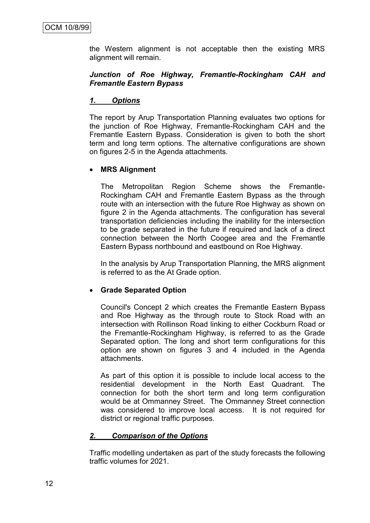the Western alignment is not acceptable then the existing MRS alignment will remain.

#### *Junction of Roe Highway, Fremantle-Rockingham CAH and Fremantle Eastern Bypass*

## *1. Options*

The report by Arup Transportation Planning evaluates two options for the junction of Roe Highway, Fremantle-Rockingham CAH and the Fremantle Eastern Bypass. Consideration is given to both the short term and long term options. The alternative configurations are shown on figures 2-5 in the Agenda attachments.

#### **MRS Alignment**

The Metropolitan Region Scheme shows the Fremantle-Rockingham CAH and Fremantle Eastern Bypass as the through route with an intersection with the future Roe Highway as shown on figure 2 in the Agenda attachments. The configuration has several transportation deficiencies including the inability for the intersection to be grade separated in the future if required and lack of a direct connection between the North Coogee area and the Fremantle Eastern Bypass northbound and eastbound on Roe Highway.

In the analysis by Arup Transportation Planning, the MRS alignment is referred to as the At Grade option.

#### **Grade Separated Option**

Council's Concept 2 which creates the Fremantle Eastern Bypass and Roe Highway as the through route to Stock Road with an intersection with Rollinson Road linking to either Cockburn Road or the Fremantle-Rockingham Highway, is referred to as the Grade Separated option. The long and short term configurations for this option are shown on figures 3 and 4 included in the Agenda attachments.

As part of this option it is possible to include local access to the residential development in the North East Quadrant. The connection for both the short term and long term configuration would be at Ommanney Street. The Ommanney Street connection was considered to improve local access. It is not required for district or regional traffic purposes.

## *2. Comparison of the Options*

Traffic modelling undertaken as part of the study forecasts the following traffic volumes for 2021.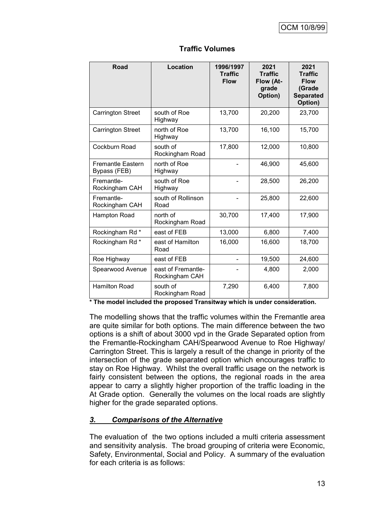| Road                                     | Location                             | 1996/1997<br><b>Traffic</b><br><b>Flow</b> | 2021<br><b>Traffic</b><br>Flow (At-<br>grade<br>Option) | 2021<br><b>Traffic</b><br><b>Flow</b><br>(Grade<br><b>Separated</b><br>Option) |
|------------------------------------------|--------------------------------------|--------------------------------------------|---------------------------------------------------------|--------------------------------------------------------------------------------|
| <b>Carrington Street</b>                 | south of Roe<br>Highway              | 13,700                                     | 20,200                                                  | 23,700                                                                         |
| <b>Carrington Street</b>                 | north of Roe<br>Highway              | 13,700                                     | 16,100                                                  | 15,700                                                                         |
| Cockburn Road                            | south of<br>Rockingham Road          | 17,800                                     | 12,000                                                  | 10,800                                                                         |
| <b>Fremantle Eastern</b><br>Bypass (FEB) | north of Roe<br>Highway              |                                            | 46,900                                                  | 45,600                                                                         |
| Fremantle-<br>Rockingham CAH             | south of Roe<br>Highway              |                                            | 28,500                                                  | 26,200                                                                         |
| Fremantle-<br>Rockingham CAH             | south of Rollinson<br>Road           |                                            | 25,800                                                  | 22,600                                                                         |
| Hampton Road                             | north of<br>Rockingham Road          | 30,700                                     | 17,400                                                  | 17,900                                                                         |
| Rockingham Rd *                          | east of FEB                          | 13,000                                     | 6,800                                                   | 7,400                                                                          |
| Rockingham Rd *                          | east of Hamilton<br>Road             | 16,000                                     | 16,600                                                  | 18,700                                                                         |
| Roe Highway                              | east of FEB                          |                                            | 19,500                                                  | 24,600                                                                         |
| Spearwood Avenue                         | east of Fremantle-<br>Rockingham CAH |                                            | 4,800                                                   | 2,000                                                                          |
| <b>Hamilton Road</b>                     | south of<br>Rockingham Road          | 7,290                                      | 6,400                                                   | 7,800                                                                          |

## **Traffic Volumes**

**\* The model included the proposed Transitway which is under consideration.**

The modelling shows that the traffic volumes within the Fremantle area are quite similar for both options. The main difference between the two options is a shift of about 3000 vpd in the Grade Separated option from the Fremantle-Rockingham CAH/Spearwood Avenue to Roe Highway/ Carrington Street. This is largely a result of the change in priority of the intersection of the grade separated option which encourages traffic to stay on Roe Highway. Whilst the overall traffic usage on the network is fairly consistent between the options, the regional roads in the area appear to carry a slightly higher proportion of the traffic loading in the At Grade option. Generally the volumes on the local roads are slightly higher for the grade separated options.

## *3. Comparisons of the Alternative*

The evaluation of the two options included a multi criteria assessment and sensitivity analysis. The broad grouping of criteria were Economic, Safety, Environmental, Social and Policy. A summary of the evaluation for each criteria is as follows: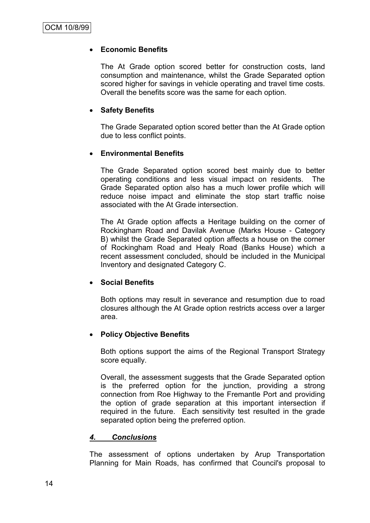## **Economic Benefits**

The At Grade option scored better for construction costs, land consumption and maintenance, whilst the Grade Separated option scored higher for savings in vehicle operating and travel time costs. Overall the benefits score was the same for each option.

#### **Safety Benefits**

The Grade Separated option scored better than the At Grade option due to less conflict points.

#### **Environmental Benefits**

The Grade Separated option scored best mainly due to better operating conditions and less visual impact on residents. The Grade Separated option also has a much lower profile which will reduce noise impact and eliminate the stop start traffic noise associated with the At Grade intersection.

The At Grade option affects a Heritage building on the corner of Rockingham Road and Davilak Avenue (Marks House - Category B) whilst the Grade Separated option affects a house on the corner of Rockingham Road and Healy Road (Banks House) which a recent assessment concluded, should be included in the Municipal Inventory and designated Category C.

#### **Social Benefits**

Both options may result in severance and resumption due to road closures although the At Grade option restricts access over a larger area.

#### **Policy Objective Benefits**

Both options support the aims of the Regional Transport Strategy score equally.

Overall, the assessment suggests that the Grade Separated option is the preferred option for the junction, providing a strong connection from Roe Highway to the Fremantle Port and providing the option of grade separation at this important intersection if required in the future. Each sensitivity test resulted in the grade separated option being the preferred option.

#### *4. Conclusions*

The assessment of options undertaken by Arup Transportation Planning for Main Roads, has confirmed that Council's proposal to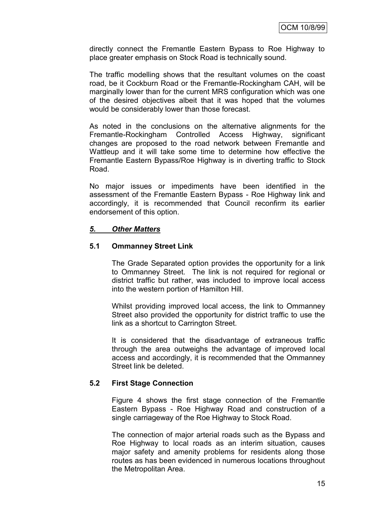directly connect the Fremantle Eastern Bypass to Roe Highway to place greater emphasis on Stock Road is technically sound.

The traffic modelling shows that the resultant volumes on the coast road, be it Cockburn Road or the Fremantle-Rockingham CAH, will be marginally lower than for the current MRS configuration which was one of the desired objectives albeit that it was hoped that the volumes would be considerably lower than those forecast.

As noted in the conclusions on the alternative alignments for the Fremantle-Rockingham Controlled Access Highway, significant changes are proposed to the road network between Fremantle and Wattleup and it will take some time to determine how effective the Fremantle Eastern Bypass/Roe Highway is in diverting traffic to Stock Road.

No major issues or impediments have been identified in the assessment of the Fremantle Eastern Bypass - Roe Highway link and accordingly, it is recommended that Council reconfirm its earlier endorsement of this option.

#### *5. Other Matters*

#### **5.1 Ommanney Street Link**

The Grade Separated option provides the opportunity for a link to Ommanney Street. The link is not required for regional or district traffic but rather, was included to improve local access into the western portion of Hamilton Hill.

Whilst providing improved local access, the link to Ommanney Street also provided the opportunity for district traffic to use the link as a shortcut to Carrington Street.

It is considered that the disadvantage of extraneous traffic through the area outweighs the advantage of improved local access and accordingly, it is recommended that the Ommanney Street link be deleted.

#### **5.2 First Stage Connection**

Figure 4 shows the first stage connection of the Fremantle Eastern Bypass - Roe Highway Road and construction of a single carriageway of the Roe Highway to Stock Road.

The connection of major arterial roads such as the Bypass and Roe Highway to local roads as an interim situation, causes major safety and amenity problems for residents along those routes as has been evidenced in numerous locations throughout the Metropolitan Area.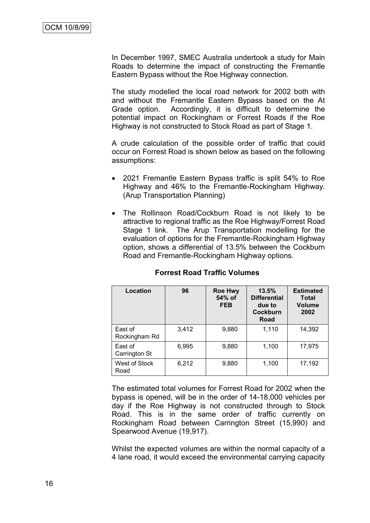In December 1997, SMEC Australia undertook a study for Main Roads to determine the impact of constructing the Fremantle Eastern Bypass without the Roe Highway connection.

The study modelled the local road network for 2002 both with and without the Fremantle Eastern Bypass based on the At Grade option. Accordingly, it is difficult to determine the potential impact on Rockingham or Forrest Roads if the Roe Highway is not constructed to Stock Road as part of Stage 1.

A crude calculation of the possible order of traffic that could occur on Forrest Road is shown below as based on the following assumptions:

- 2021 Fremantle Eastern Bypass traffic is split 54% to Roe Highway and 46% to the Fremantle-Rockingham Highway. (Arup Transportation Planning)
- The Rollinson Road/Cockburn Road is not likely to be attractive to regional traffic as the Roe Highway/Forrest Road Stage 1 link. The Arup Transportation modelling for the evaluation of options for the Fremantle-Rockingham Highway option, shows a differential of 13.5% between the Cockburn Road and Fremantle-Rockingham Highway options.

| Location                 | 96    | <b>Roe Hwy</b><br>54% of<br><b>FEB</b> | 13.5%<br><b>Differential</b><br>due to<br><b>Cockburn</b><br>Road | <b>Estimated</b><br><b>Total</b><br><b>Volume</b><br>2002 |
|--------------------------|-------|----------------------------------------|-------------------------------------------------------------------|-----------------------------------------------------------|
| East of<br>Rockingham Rd | 3,412 | 9,880                                  | 1,110                                                             | 14,392                                                    |
| East of<br>Carrington St | 6,995 | 9,880                                  | 1,100                                                             | 17,975                                                    |
| West of Stock<br>Road    | 6,212 | 9,880                                  | 1,100                                                             | 17,192                                                    |

#### **Forrest Road Traffic Volumes**

The estimated total volumes for Forrest Road for 2002 when the bypass is opened, will be in the order of 14-18,000 vehicles per day if the Roe Highway is not constructed through to Stock Road. This is in the same order of traffic currently on Rockingham Road between Carrington Street (15,990) and Spearwood Avenue (19,917).

Whilst the expected volumes are within the normal capacity of a 4 lane road, it would exceed the environmental carrying capacity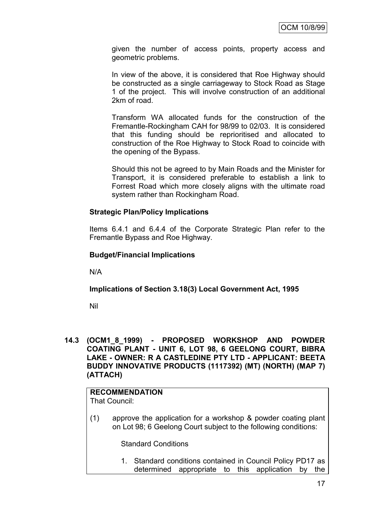given the number of access points, property access and geometric problems.

In view of the above, it is considered that Roe Highway should be constructed as a single carriageway to Stock Road as Stage 1 of the project. This will involve construction of an additional 2km of road.

Transform WA allocated funds for the construction of the Fremantle-Rockingham CAH for 98/99 to 02/03. It is considered that this funding should be reprioritised and allocated to construction of the Roe Highway to Stock Road to coincide with the opening of the Bypass.

Should this not be agreed to by Main Roads and the Minister for Transport, it is considered preferable to establish a link to Forrest Road which more closely aligns with the ultimate road system rather than Rockingham Road.

#### **Strategic Plan/Policy Implications**

Items 6.4.1 and 6.4.4 of the Corporate Strategic Plan refer to the Fremantle Bypass and Roe Highway.

#### **Budget/Financial Implications**

N/A

#### **Implications of Section 3.18(3) Local Government Act, 1995**

Nil

#### **14.3 (OCM1\_8\_1999) - PROPOSED WORKSHOP AND POWDER COATING PLANT - UNIT 6, LOT 98, 6 GEELONG COURT, BIBRA LAKE - OWNER: R A CASTLEDINE PTY LTD - APPLICANT: BEETA BUDDY INNOVATIVE PRODUCTS (1117392) (MT) (NORTH) (MAP 7) (ATTACH)**

# **RECOMMENDATION**

That Council:

(1) approve the application for a workshop & powder coating plant on Lot 98; 6 Geelong Court subject to the following conditions:

Standard Conditions

1. Standard conditions contained in Council Policy PD17 as determined appropriate to this application by the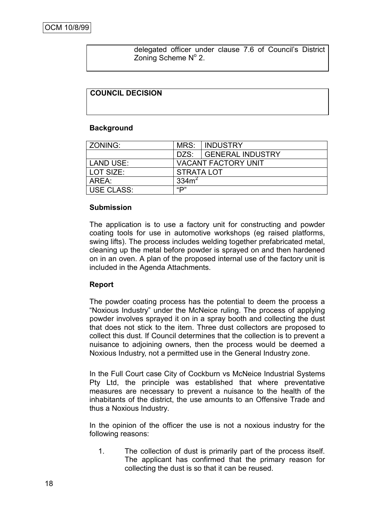delegated officer under clause 7.6 of Council"s District Zoning Scheme Nº 2.

#### **COUNCIL DECISION**

#### **Background**

| ZONING:    |                            | <b>MRS: INDUSTRY</b>  |  |
|------------|----------------------------|-----------------------|--|
|            |                            | DZS: GENERAL INDUSTRY |  |
| LAND USE:  | <b>VACANT FACTORY UNIT</b> |                       |  |
| LOT SIZE:  | <b>STRATA LOT</b>          |                       |  |
| AREA:      | 334 <sup>2</sup>           |                       |  |
| USE CLASS: | "D"                        |                       |  |

#### **Submission**

The application is to use a factory unit for constructing and powder coating tools for use in automotive workshops (eg raised platforms, swing lifts). The process includes welding together prefabricated metal, cleaning up the metal before powder is sprayed on and then hardened on in an oven. A plan of the proposed internal use of the factory unit is included in the Agenda Attachments.

#### **Report**

The powder coating process has the potential to deem the process a "Noxious Industry" under the McNeice ruling. The process of applying powder involves sprayed it on in a spray booth and collecting the dust that does not stick to the item. Three dust collectors are proposed to collect this dust. If Council determines that the collection is to prevent a nuisance to adjoining owners, then the process would be deemed a Noxious Industry, not a permitted use in the General Industry zone.

In the Full Court case City of Cockburn vs McNeice Industrial Systems Pty Ltd, the principle was established that where preventative measures are necessary to prevent a nuisance to the health of the inhabitants of the district, the use amounts to an Offensive Trade and thus a Noxious Industry.

In the opinion of the officer the use is not a noxious industry for the following reasons:

1. The collection of dust is primarily part of the process itself. The applicant has confirmed that the primary reason for collecting the dust is so that it can be reused.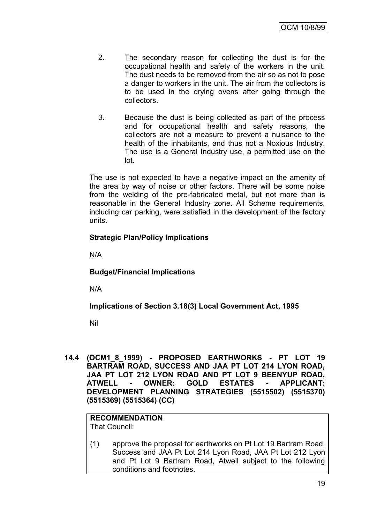- 2. The secondary reason for collecting the dust is for the occupational health and safety of the workers in the unit. The dust needs to be removed from the air so as not to pose a danger to workers in the unit. The air from the collectors is to be used in the drying ovens after going through the collectors.
- 3. Because the dust is being collected as part of the process and for occupational health and safety reasons, the collectors are not a measure to prevent a nuisance to the health of the inhabitants, and thus not a Noxious Industry. The use is a General Industry use, a permitted use on the lot.

The use is not expected to have a negative impact on the amenity of the area by way of noise or other factors. There will be some noise from the welding of the pre-fabricated metal, but not more than is reasonable in the General Industry zone. All Scheme requirements, including car parking, were satisfied in the development of the factory units.

## **Strategic Plan/Policy Implications**

N/A

#### **Budget/Financial Implications**

N/A

#### **Implications of Section 3.18(3) Local Government Act, 1995**

Nil

**14.4 (OCM1\_8\_1999) - PROPOSED EARTHWORKS - PT LOT 19 BARTRAM ROAD, SUCCESS AND JAA PT LOT 214 LYON ROAD, JAA PT LOT 212 LYON ROAD AND PT LOT 9 BEENYUP ROAD, ATWELL - OWNER: GOLD ESTATES - APPLICANT: DEVELOPMENT PLANNING STRATEGIES (5515502) (5515370) (5515369) (5515364) (CC)**

# **RECOMMENDATION**

That Council:

(1) approve the proposal for earthworks on Pt Lot 19 Bartram Road, Success and JAA Pt Lot 214 Lyon Road, JAA Pt Lot 212 Lyon and Pt Lot 9 Bartram Road, Atwell subject to the following conditions and footnotes.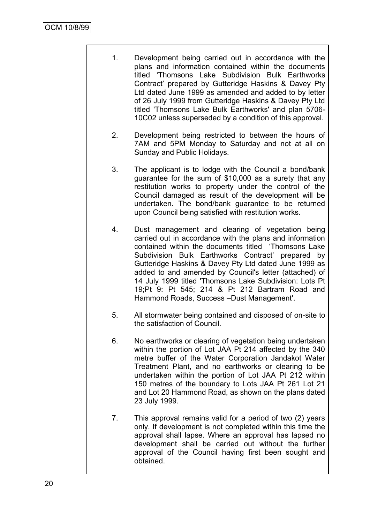- 1. Development being carried out in accordance with the plans and information contained within the documents titled "Thomsons Lake Subdivision Bulk Earthworks Contract" prepared by Gutteridge Haskins & Davey Pty Ltd dated June 1999 as amended and added to by letter of 26 July 1999 from Gutteridge Haskins & Davey Pty Ltd titled 'Thomsons Lake Bulk Earthworks' and plan 5706- 10C02 unless superseded by a condition of this approval.
- 2. Development being restricted to between the hours of 7AM and 5PM Monday to Saturday and not at all on Sunday and Public Holidays.
- 3. The applicant is to lodge with the Council a bond/bank guarantee for the sum of \$10,000 as a surety that any restitution works to property under the control of the Council damaged as result of the development will be undertaken. The bond/bank guarantee to be returned upon Council being satisfied with restitution works.
- 4. Dust management and clearing of vegetation being carried out in accordance with the plans and information contained within the documents titled "Thomsons Lake Subdivision Bulk Earthworks Contract" prepared by Gutteridge Haskins & Davey Pty Ltd dated June 1999 as added to and amended by Council's letter (attached) of 14 July 1999 titled 'Thomsons Lake Subdivision: Lots Pt 19;Pt 9: Pt 545; 214 & Pt 212 Bartram Road and Hammond Roads, Success –Dust Management'.
- 5. All stormwater being contained and disposed of on-site to the satisfaction of Council.
- 6. No earthworks or clearing of vegetation being undertaken within the portion of Lot JAA Pt 214 affected by the 340 metre buffer of the Water Corporation Jandakot Water Treatment Plant, and no earthworks or clearing to be undertaken within the portion of Lot JAA Pt 212 within 150 metres of the boundary to Lots JAA Pt 261 Lot 21 and Lot 20 Hammond Road, as shown on the plans dated 23 July 1999.
- 7. This approval remains valid for a period of two (2) years only. If development is not completed within this time the approval shall lapse. Where an approval has lapsed no development shall be carried out without the further approval of the Council having first been sought and obtained.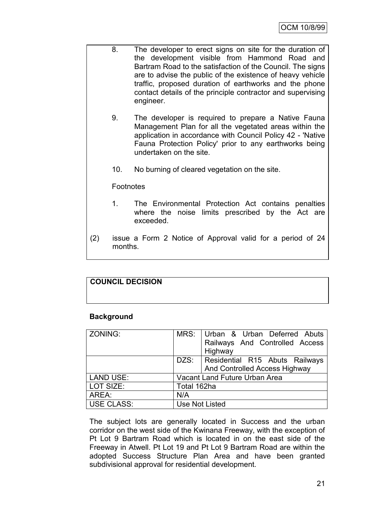- 8. The developer to erect signs on site for the duration of the development visible from Hammond Road and Bartram Road to the satisfaction of the Council. The signs are to advise the public of the existence of heavy vehicle traffic, proposed duration of earthworks and the phone contact details of the principle contractor and supervising engineer.
	- 9. The developer is required to prepare a Native Fauna Management Plan for all the vegetated areas within the application in accordance with Council Policy 42 - 'Native Fauna Protection Policy' prior to any earthworks being undertaken on the site.
	- 10. No burning of cleared vegetation on the site.

#### **Footnotes**

- 1. The Environmental Protection Act contains penalties where the noise limits prescribed by the Act are exceeded.
- (2) issue a Form 2 Notice of Approval valid for a period of 24 months.

## **COUNCIL DECISION**

#### **Background**

| ZONING:           |             | MRS:   Urban & Urban Deferred Abuts<br>Railways And Controlled Access<br>Highway |  |
|-------------------|-------------|----------------------------------------------------------------------------------|--|
|                   |             | DZS: Residential R15 Abuts Railways                                              |  |
|                   |             | And Controlled Access Highway                                                    |  |
| <b>LAND USE:</b>  |             | Vacant Land Future Urban Area                                                    |  |
| LOT SIZE:         | Total 162ha |                                                                                  |  |
| AREA:             | N/A         |                                                                                  |  |
| <b>USE CLASS:</b> |             | Use Not Listed                                                                   |  |

The subject lots are generally located in Success and the urban corridor on the west side of the Kwinana Freeway, with the exception of Pt Lot 9 Bartram Road which is located in on the east side of the Freeway in Atwell. Pt Lot 19 and Pt Lot 9 Bartram Road are within the adopted Success Structure Plan Area and have been granted subdivisional approval for residential development.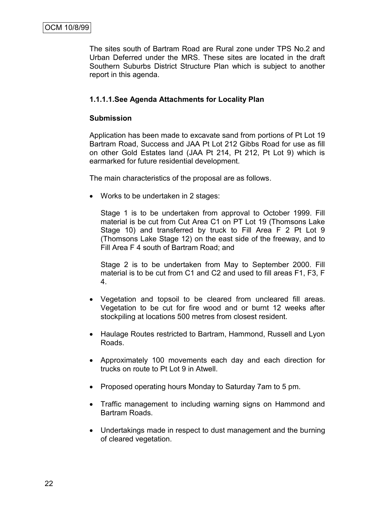The sites south of Bartram Road are Rural zone under TPS No.2 and Urban Deferred under the MRS. These sites are located in the draft Southern Suburbs District Structure Plan which is subject to another report in this agenda.

## **1.1.1.1.See Agenda Attachments for Locality Plan**

#### **Submission**

Application has been made to excavate sand from portions of Pt Lot 19 Bartram Road, Success and JAA Pt Lot 212 Gibbs Road for use as fill on other Gold Estates land (JAA Pt 214, Pt 212, Pt Lot 9) which is earmarked for future residential development.

The main characteristics of the proposal are as follows.

• Works to be undertaken in 2 stages:

Stage 1 is to be undertaken from approval to October 1999. Fill material is be cut from Cut Area C1 on PT Lot 19 (Thomsons Lake Stage 10) and transferred by truck to Fill Area F 2 Pt Lot 9 (Thomsons Lake Stage 12) on the east side of the freeway, and to Fill Area F 4 south of Bartram Road; and

Stage 2 is to be undertaken from May to September 2000. Fill material is to be cut from C1 and C2 and used to fill areas F1, F3, F 4.

- Vegetation and topsoil to be cleared from uncleared fill areas. Vegetation to be cut for fire wood and or burnt 12 weeks after stockpiling at locations 500 metres from closest resident.
- Haulage Routes restricted to Bartram, Hammond, Russell and Lyon Roads.
- Approximately 100 movements each day and each direction for trucks on route to Pt Lot 9 in Atwell.
- Proposed operating hours Monday to Saturday 7am to 5 pm.
- Traffic management to including warning signs on Hammond and Bartram Roads.
- Undertakings made in respect to dust management and the burning of cleared vegetation.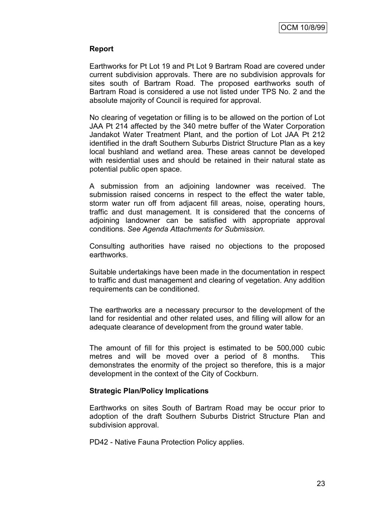#### **Report**

Earthworks for Pt Lot 19 and Pt Lot 9 Bartram Road are covered under current subdivision approvals. There are no subdivision approvals for sites south of Bartram Road. The proposed earthworks south of Bartram Road is considered a use not listed under TPS No. 2 and the absolute majority of Council is required for approval.

No clearing of vegetation or filling is to be allowed on the portion of Lot JAA Pt 214 affected by the 340 metre buffer of the Water Corporation Jandakot Water Treatment Plant, and the portion of Lot JAA Pt 212 identified in the draft Southern Suburbs District Structure Plan as a key local bushland and wetland area. These areas cannot be developed with residential uses and should be retained in their natural state as potential public open space.

A submission from an adjoining landowner was received. The submission raised concerns in respect to the effect the water table, storm water run off from adjacent fill areas, noise, operating hours, traffic and dust management. It is considered that the concerns of adjoining landowner can be satisfied with appropriate approval conditions. *See Agenda Attachments for Submission.*

Consulting authorities have raised no objections to the proposed earthworks.

Suitable undertakings have been made in the documentation in respect to traffic and dust management and clearing of vegetation. Any addition requirements can be conditioned.

The earthworks are a necessary precursor to the development of the land for residential and other related uses, and filling will allow for an adequate clearance of development from the ground water table.

The amount of fill for this project is estimated to be 500,000 cubic metres and will be moved over a period of 8 months. This demonstrates the enormity of the project so therefore, this is a major development in the context of the City of Cockburn.

#### **Strategic Plan/Policy Implications**

Earthworks on sites South of Bartram Road may be occur prior to adoption of the draft Southern Suburbs District Structure Plan and subdivision approval.

PD42 - Native Fauna Protection Policy applies.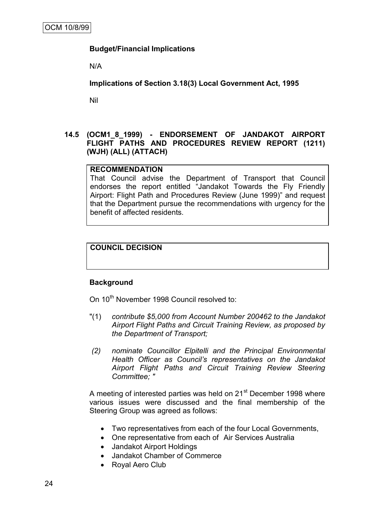## **Budget/Financial Implications**

N/A

**Implications of Section 3.18(3) Local Government Act, 1995**

Nil

#### **14.5 (OCM1\_8\_1999) - ENDORSEMENT OF JANDAKOT AIRPORT FLIGHT PATHS AND PROCEDURES REVIEW REPORT (1211) (WJH) (ALL) (ATTACH)**

#### **RECOMMENDATION**

That Council advise the Department of Transport that Council endorses the report entitled "Jandakot Towards the Fly Friendly Airport: Flight Path and Procedures Review (June 1999)" and request that the Department pursue the recommendations with urgency for the benefit of affected residents.

## **COUNCIL DECISION**

#### **Background**

On 10<sup>th</sup> November 1998 Council resolved to:

- "(1) *contribute \$5,000 from Account Number 200462 to the Jandakot Airport Flight Paths and Circuit Training Review, as proposed by the Department of Transport;*
- *(2) nominate Councillor Elpitelli and the Principal Environmental Health Officer as Council's representatives on the Jandakot Airport Flight Paths and Circuit Training Review Steering Committee; "*

A meeting of interested parties was held on 21<sup>st</sup> December 1998 where various issues were discussed and the final membership of the Steering Group was agreed as follows:

- Two representatives from each of the four Local Governments,
- One representative from each of Air Services Australia
- Jandakot Airport Holdings
- Jandakot Chamber of Commerce
- Royal Aero Club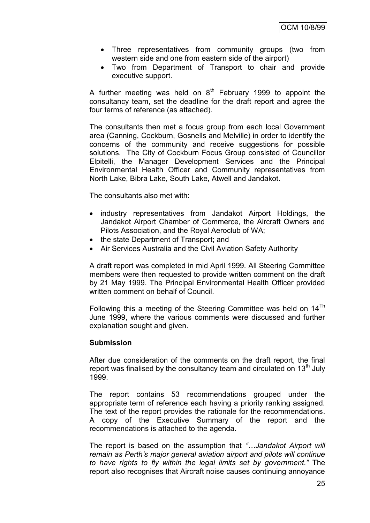- Three representatives from community groups (two from western side and one from eastern side of the airport)
- Two from Department of Transport to chair and provide executive support.

A further meeting was held on  $8<sup>th</sup>$  February 1999 to appoint the consultancy team, set the deadline for the draft report and agree the four terms of reference (as attached).

The consultants then met a focus group from each local Government area (Canning, Cockburn, Gosnells and Melville) in order to identify the concerns of the community and receive suggestions for possible solutions. The City of Cockburn Focus Group consisted of Councillor Elpitelli, the Manager Development Services and the Principal Environmental Health Officer and Community representatives from North Lake, Bibra Lake, South Lake, Atwell and Jandakot.

The consultants also met with:

- industry representatives from Jandakot Airport Holdings, the Jandakot Airport Chamber of Commerce, the Aircraft Owners and Pilots Association, and the Royal Aeroclub of WA;
- the state Department of Transport; and
- Air Services Australia and the Civil Aviation Safety Authority

A draft report was completed in mid April 1999. All Steering Committee members were then requested to provide written comment on the draft by 21 May 1999. The Principal Environmental Health Officer provided written comment on behalf of Council.

Following this a meeting of the Steering Committee was held on  $14<sup>Th</sup>$ June 1999, where the various comments were discussed and further explanation sought and given.

#### **Submission**

After due consideration of the comments on the draft report, the final report was finalised by the consultancy team and circulated on  $13<sup>th</sup>$  July 1999.

The report contains 53 recommendations grouped under the appropriate term of reference each having a priority ranking assigned. The text of the report provides the rationale for the recommendations. A copy of the Executive Summary of the report and the recommendations is attached to the agenda.

The report is based on the assumption that *"…Jandakot Airport will remain as Perth's major general aviation airport and pilots will continue to have rights to fly within the legal limits set by government."* The report also recognises that Aircraft noise causes continuing annoyance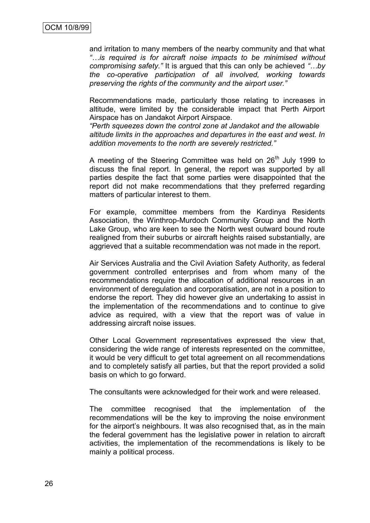and irritation to many members of the nearby community and that what *"…is required is for aircraft noise impacts to be minimised without compromising safety."* It is argued that this can only be achieved *"…by the co-operative participation of all involved, working towards preserving the rights of the community and the airport user."* 

Recommendations made, particularly those relating to increases in altitude, were limited by the considerable impact that Perth Airport Airspace has on Jandakot Airport Airspace.

*"Perth squeezes down the control zone at Jandakot and the allowable altitude limits in the approaches and departures in the east and west. In addition movements to the north are severely restricted."* 

A meeting of the Steering Committee was held on  $26<sup>th</sup>$  July 1999 to discuss the final report. In general, the report was supported by all parties despite the fact that some parties were disappointed that the report did not make recommendations that they preferred regarding matters of particular interest to them.

For example, committee members from the Kardinya Residents Association, the Winthrop-Murdoch Community Group and the North Lake Group, who are keen to see the North west outward bound route realigned from their suburbs or aircraft heights raised substantially, are aggrieved that a suitable recommendation was not made in the report.

Air Services Australia and the Civil Aviation Safety Authority, as federal government controlled enterprises and from whom many of the recommendations require the allocation of additional resources in an environment of deregulation and corporatisation, are not in a position to endorse the report. They did however give an undertaking to assist in the implementation of the recommendations and to continue to give advice as required, with a view that the report was of value in addressing aircraft noise issues.

Other Local Government representatives expressed the view that, considering the wide range of interests represented on the committee, it would be very difficult to get total agreement on all recommendations and to completely satisfy all parties, but that the report provided a solid basis on which to go forward.

The consultants were acknowledged for their work and were released.

The committee recognised that the implementation of the recommendations will be the key to improving the noise environment for the airport's neighbours. It was also recognised that, as in the main the federal government has the legislative power in relation to aircraft activities, the implementation of the recommendations is likely to be mainly a political process.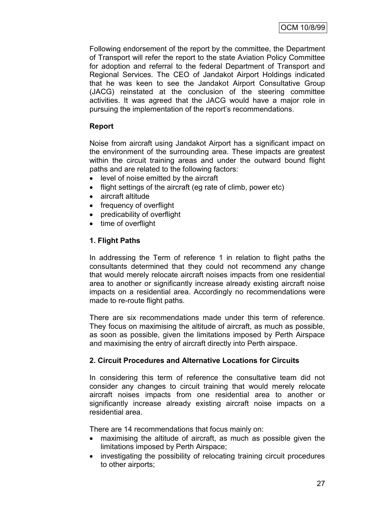Following endorsement of the report by the committee, the Department of Transport will refer the report to the state Aviation Policy Committee for adoption and referral to the federal Department of Transport and Regional Services. The CEO of Jandakot Airport Holdings indicated that he was keen to see the Jandakot Airport Consultative Group (JACG) reinstated at the conclusion of the steering committee activities. It was agreed that the JACG would have a major role in pursuing the implementation of the report's recommendations.

## **Report**

Noise from aircraft using Jandakot Airport has a significant impact on the environment of the surrounding area. These impacts are greatest within the circuit training areas and under the outward bound flight paths and are related to the following factors:

- level of noise emitted by the aircraft
- flight settings of the aircraft (eg rate of climb, power etc)
- aircraft altitude
- frequency of overflight
- predicability of overflight
- time of overflight

## **1. Flight Paths**

In addressing the Term of reference 1 in relation to flight paths the consultants determined that they could not recommend any change that would merely relocate aircraft noises impacts from one residential area to another or significantly increase already existing aircraft noise impacts on a residential area. Accordingly no recommendations were made to re-route flight paths.

There are six recommendations made under this term of reference. They focus on maximising the altitude of aircraft, as much as possible, as soon as possible, given the limitations imposed by Perth Airspace and maximising the entry of aircraft directly into Perth airspace.

## **2. Circuit Procedures and Alternative Locations for Circuits**

In considering this term of reference the consultative team did not consider any changes to circuit training that would merely relocate aircraft noises impacts from one residential area to another or significantly increase already existing aircraft noise impacts on a residential area.

There are 14 recommendations that focus mainly on:

- maximising the altitude of aircraft, as much as possible given the limitations imposed by Perth Airspace;
- investigating the possibility of relocating training circuit procedures to other airports;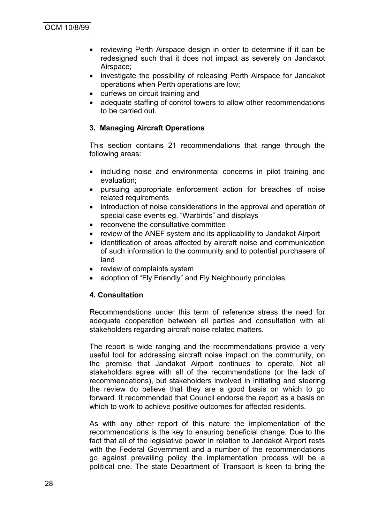- reviewing Perth Airspace design in order to determine if it can be redesigned such that it does not impact as severely on Jandakot Airspace;
- investigate the possibility of releasing Perth Airspace for Jandakot operations when Perth operations are low;
- curfews on circuit training and
- adequate staffing of control towers to allow other recommendations to be carried out.

## **3. Managing Aircraft Operations**

This section contains 21 recommendations that range through the following areas:

- including noise and environmental concerns in pilot training and evaluation;
- pursuing appropriate enforcement action for breaches of noise related requirements
- introduction of noise considerations in the approval and operation of special case events eg. "Warbirds" and displays
- reconvene the consultative committee
- review of the ANEF system and its applicability to Jandakot Airport
- identification of areas affected by aircraft noise and communication of such information to the community and to potential purchasers of land
- review of complaints system
- adoption of "Fly Friendly" and Fly Neighbourly principles

#### **4. Consultation**

Recommendations under this term of reference stress the need for adequate cooperation between all parties and consultation with all stakeholders regarding aircraft noise related matters.

The report is wide ranging and the recommendations provide a very useful tool for addressing aircraft noise impact on the community, on the premise that Jandakot Airport continues to operate. Not all stakeholders agree with all of the recommendations (or the lack of recommendations), but stakeholders involved in initiating and steering the review do believe that they are a good basis on which to go forward. It recommended that Council endorse the report as a basis on which to work to achieve positive outcomes for affected residents.

As with any other report of this nature the implementation of the recommendations is the key to ensuring beneficial change. Due to the fact that all of the legislative power in relation to Jandakot Airport rests with the Federal Government and a number of the recommendations go against prevailing policy the implementation process will be a political one. The state Department of Transport is keen to bring the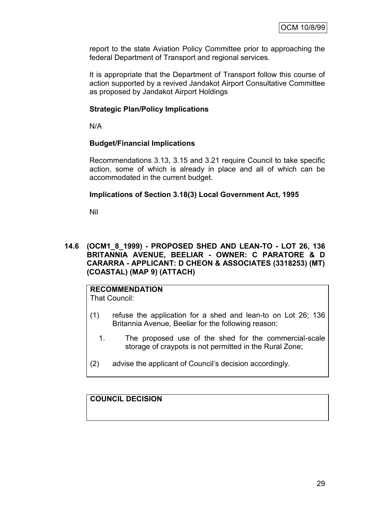report to the state Aviation Policy Committee prior to approaching the federal Department of Transport and regional services.

It is appropriate that the Department of Transport follow this course of action supported by a revived Jandakot Airport Consultative Committee as proposed by Jandakot Airport Holdings

#### **Strategic Plan/Policy Implications**

N/A

#### **Budget/Financial Implications**

Recommendations 3.13, 3.15 and 3.21 require Council to take specific action, some of which is already in place and all of which can be accommodated in the current budget.

#### **Implications of Section 3.18(3) Local Government Act, 1995**

Nil

#### **14.6 (OCM1\_8\_1999) - PROPOSED SHED AND LEAN-TO - LOT 26, 136 BRITANNIA AVENUE, BEELIAR - OWNER: C PARATORE & D CARARRA - APPLICANT: D CHEON & ASSOCIATES (3318253) (MT) (COASTAL) (MAP 9) (ATTACH)**

# **RECOMMENDATION**

That Council:

- (1) refuse the application for a shed and lean-to on Lot 26; 136 Britannia Avenue, Beeliar for the following reason:
	- 1. The proposed use of the shed for the commercial-scale storage of craypots is not permitted in the Rural Zone;
- (2) advise the applicant of Council"s decision accordingly.

**COUNCIL DECISION**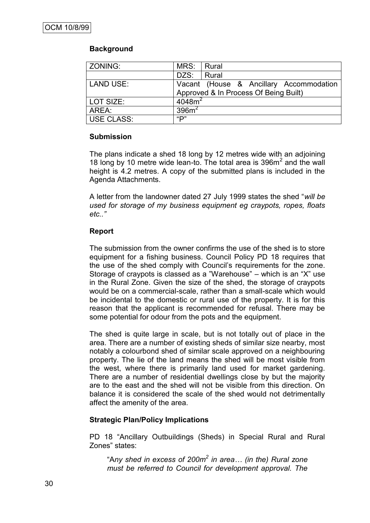## **Background**

| ZONING:           | MRS: I             | Rural                                                                            |
|-------------------|--------------------|----------------------------------------------------------------------------------|
|                   | DZS:               | Rural                                                                            |
| LAND USE:         |                    | Vacant (House & Ancillary Accommodation<br>Approved & In Process Of Being Built) |
| LOT SIZE:         | 4048m <sup>2</sup> |                                                                                  |
| AREA:             | 396m <sup>2</sup>  |                                                                                  |
| <b>USE CLASS:</b> | "D"                |                                                                                  |

#### **Submission**

The plans indicate a shed 18 long by 12 metres wide with an adjoining 18 long by 10 metre wide lean-to. The total area is 396m<sup>2</sup> and the wall height is 4.2 metres. A copy of the submitted plans is included in the Agenda Attachments.

A letter from the landowner dated 27 July 1999 states the shed "*will be used for storage of my business equipment eg craypots, ropes, floats etc.."*

#### **Report**

The submission from the owner confirms the use of the shed is to store equipment for a fishing business. Council Policy PD 18 requires that the use of the shed comply with Council"s requirements for the zone. Storage of craypots is classed as a "Warehouse" – which is an "X" use in the Rural Zone. Given the size of the shed, the storage of craypots would be on a commercial-scale, rather than a small-scale which would be incidental to the domestic or rural use of the property. It is for this reason that the applicant is recommended for refusal. There may be some potential for odour from the pots and the equipment.

The shed is quite large in scale, but is not totally out of place in the area. There are a number of existing sheds of similar size nearby, most notably a colourbond shed of similar scale approved on a neighbouring property. The lie of the land means the shed will be most visible from the west, where there is primarily land used for market gardening. There are a number of residential dwellings close by but the majority are to the east and the shed will not be visible from this direction. On balance it is considered the scale of the shed would not detrimentally affect the amenity of the area.

#### **Strategic Plan/Policy Implications**

PD 18 "Ancillary Outbuildings (Sheds) in Special Rural and Rural Zones" states:

"A*ny shed in excess of 200m<sup>2</sup> in area… (in the) Rural zone must be referred to Council for development approval. The*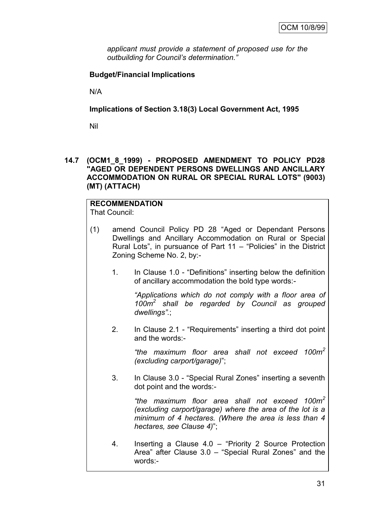*applicant must provide a statement of proposed use for the outbuilding for Council's determination."*

## **Budget/Financial Implications**

N/A

**Implications of Section 3.18(3) Local Government Act, 1995**

Nil

**14.7 (OCM1\_8\_1999) - PROPOSED AMENDMENT TO POLICY PD28 "AGED OR DEPENDENT PERSONS DWELLINGS AND ANCILLARY ACCOMMODATION ON RURAL OR SPECIAL RURAL LOTS" (9003) (MT) (ATTACH)**

# **RECOMMENDATION**

That Council:

- (1) amend Council Policy PD 28 "Aged or Dependant Persons Dwellings and Ancillary Accommodation on Rural or Special Rural Lots", in pursuance of Part 11 – "Policies" in the District Zoning Scheme No. 2, by:-
	- 1. In Clause 1.0 "Definitions" inserting below the definition of ancillary accommodation the bold type words:-

*"Applications which do not comply with a floor area of 100m<sup>2</sup> shall be regarded by Council as grouped dwellings".*;

2. In Clause 2.1 - "Requirements" inserting a third dot point and the words:-

> *"the maximum floor area shall not exceed 100m<sup>2</sup> (excluding carport/garage)*";

3. In Clause 3.0 - "Special Rural Zones" inserting a seventh dot point and the words:-

> *"the maximum floor area shall not exceed 100m<sup>2</sup> (excluding carport/garage) where the area of the lot is a minimum of 4 hectares. (Where the area is less than 4 hectares, see Clause 4)*";

4. Inserting a Clause 4.0 – "Priority 2 Source Protection Area" after Clause 3.0 – "Special Rural Zones" and the words:-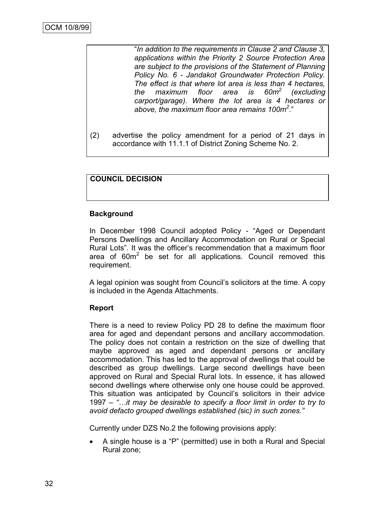"*In addition to the requirements in Clause 2 and Clause 3, applications within the Priority 2 Source Protection Area are subject to the provisions of the Statement of Planning Policy No. 6 - Jandakot Groundwater Protection Policy. The effect is that where lot area is less than 4 hectares, the maximum floor area is (excluding carport/garage). Where the lot area is 4 hectares or above, the maximum floor area remains 100m<sup>2</sup>* ."

(2) advertise the policy amendment for a period of 21 days in accordance with 11.1.1 of District Zoning Scheme No. 2.

## **COUNCIL DECISION**

#### **Background**

In December 1998 Council adopted Policy - "Aged or Dependant Persons Dwellings and Ancillary Accommodation on Rural or Special Rural Lots". It was the officer"s recommendation that a maximum floor area of  $60m^2$  be set for all applications. Council removed this requirement.

A legal opinion was sought from Council"s solicitors at the time. A copy is included in the Agenda Attachments.

#### **Report**

There is a need to review Policy PD 28 to define the maximum floor area for aged and dependant persons and ancillary accommodation. The policy does not contain a restriction on the size of dwelling that maybe approved as aged and dependant persons or ancillary accommodation. This has led to the approval of dwellings that could be described as group dwellings. Large second dwellings have been approved on Rural and Special Rural lots. In essence, it has allowed second dwellings where otherwise only one house could be approved. This situation was anticipated by Council's solicitors in their advice 1997 – *"…it may be desirable to specify a floor limit in order to try to avoid defacto grouped dwellings established (*sic*) in such zones."*

Currently under DZS No.2 the following provisions apply:

 A single house is a "P" (permitted) use in both a Rural and Special Rural zone;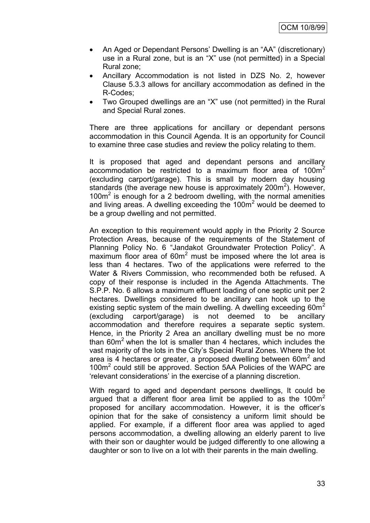- An Aged or Dependant Persons" Dwelling is an "AA" (discretionary) use in a Rural zone, but is an "X" use (not permitted) in a Special Rural zone;
- Ancillary Accommodation is not listed in DZS No. 2, however Clause 5.3.3 allows for ancillary accommodation as defined in the R-Codes;
- Two Grouped dwellings are an "X" use (not permitted) in the Rural and Special Rural zones.

There are three applications for ancillary or dependant persons accommodation in this Council Agenda. It is an opportunity for Council to examine three case studies and review the policy relating to them.

It is proposed that aged and dependant persons and ancillary accommodation be restricted to a maximum floor area of  $100m^2$ (excluding carport/garage). This is small by modern day housing standards (the average new house is approximately 200 $m<sup>2</sup>$ ). However, 100m<sup>2</sup> is enough for a 2 bedroom dwelling, with the normal amenities and living areas. A dwelling exceeding the  $100m<sup>2</sup>$  would be deemed to be a group dwelling and not permitted.

An exception to this requirement would apply in the Priority 2 Source Protection Areas, because of the requirements of the Statement of Planning Policy No. 6 "Jandakot Groundwater Protection Policy". A maximum floor area of 60m<sup>2</sup> must be imposed where the lot area is less than 4 hectares. Two of the applications were referred to the Water & Rivers Commission, who recommended both be refused. A copy of their response is included in the Agenda Attachments. The S.P.P. No. 6 allows a maximum effluent loading of one septic unit per 2 hectares. Dwellings considered to be ancillary can hook up to the existing septic system of the main dwelling. A dwelling exceeding  $60m^2$ (excluding carport/garage) is not deemed to be ancillary accommodation and therefore requires a separate septic system. Hence, in the Priority 2 Area an ancillary dwelling must be no more than  $60m<sup>2</sup>$  when the lot is smaller than 4 hectares, which includes the vast majority of the lots in the City"s Special Rural Zones. Where the lot area is 4 hectares or greater, a proposed dwelling between  $60m^2$  and 100m<sup>2</sup> could still be approved. Section 5AA Policies of the WAPC are "relevant considerations" in the exercise of a planning discretion.

With regard to aged and dependant persons dwellings, It could be argued that a different floor area limit be applied to as the  $100m<sup>2</sup>$ proposed for ancillary accommodation. However, it is the officer"s opinion that for the sake of consistency a uniform limit should be applied. For example, if a different floor area was applied to aged persons accommodation, a dwelling allowing an elderly parent to live with their son or daughter would be judged differently to one allowing a daughter or son to live on a lot with their parents in the main dwelling.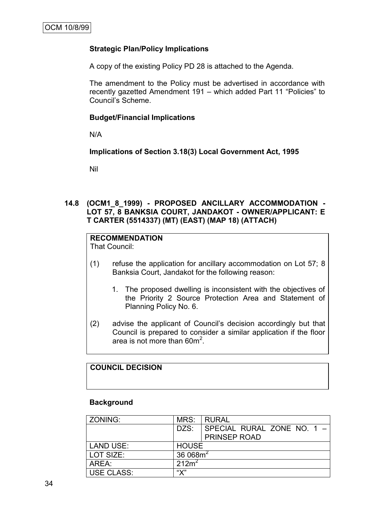## **Strategic Plan/Policy Implications**

A copy of the existing Policy PD 28 is attached to the Agenda.

The amendment to the Policy must be advertised in accordance with recently gazetted Amendment 191 – which added Part 11 "Policies" to Council"s Scheme.

#### **Budget/Financial Implications**

N/A

## **Implications of Section 3.18(3) Local Government Act, 1995**

Nil

#### **14.8 (OCM1\_8\_1999) - PROPOSED ANCILLARY ACCOMMODATION - LOT 57, 8 BANKSIA COURT, JANDAKOT - OWNER/APPLICANT: E T CARTER (5514337) (MT) (EAST) (MAP 18) (ATTACH)**

# **RECOMMENDATION**

That Council:

- (1) refuse the application for ancillary accommodation on Lot 57; 8 Banksia Court, Jandakot for the following reason:
	- 1. The proposed dwelling is inconsistent with the objectives of the Priority 2 Source Protection Area and Statement of Planning Policy No. 6.
- (2) advise the applicant of Council"s decision accordingly but that Council is prepared to consider a similar application if the floor area is not more than  $60m^2$ .

## **COUNCIL DECISION**

#### **Background**

| ZONING:           | MRS:              | I RURAL                    |
|-------------------|-------------------|----------------------------|
|                   | DZS:              | SPECIAL RURAL ZONE NO. 1 - |
|                   |                   | <b>PRINSEP ROAD</b>        |
| <b>LAND USE:</b>  | <b>HOUSE</b>      |                            |
| LOT SIZE:         | 36 068 $m2$       |                            |
| AREA:             | 212m <sup>2</sup> |                            |
| <b>USE CLASS:</b> | "Х"               |                            |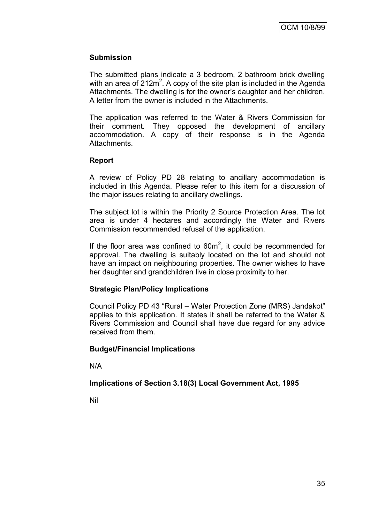## **Submission**

The submitted plans indicate a 3 bedroom, 2 bathroom brick dwelling with an area of  $212m^2$ . A copy of the site plan is included in the Agenda Attachments. The dwelling is for the owner"s daughter and her children. A letter from the owner is included in the Attachments.

The application was referred to the Water & Rivers Commission for their comment. They opposed the development of ancillary accommodation. A copy of their response is in the Agenda Attachments.

## **Report**

A review of Policy PD 28 relating to ancillary accommodation is included in this Agenda. Please refer to this item for a discussion of the major issues relating to ancillary dwellings.

The subject lot is within the Priority 2 Source Protection Area. The lot area is under 4 hectares and accordingly the Water and Rivers Commission recommended refusal of the application.

If the floor area was confined to  $60m^2$ , it could be recommended for approval. The dwelling is suitably located on the lot and should not have an impact on neighbouring properties. The owner wishes to have her daughter and grandchildren live in close proximity to her.

#### **Strategic Plan/Policy Implications**

Council Policy PD 43 "Rural – Water Protection Zone (MRS) Jandakot" applies to this application. It states it shall be referred to the Water & Rivers Commission and Council shall have due regard for any advice received from them.

#### **Budget/Financial Implications**

N/A

## **Implications of Section 3.18(3) Local Government Act, 1995**

Nil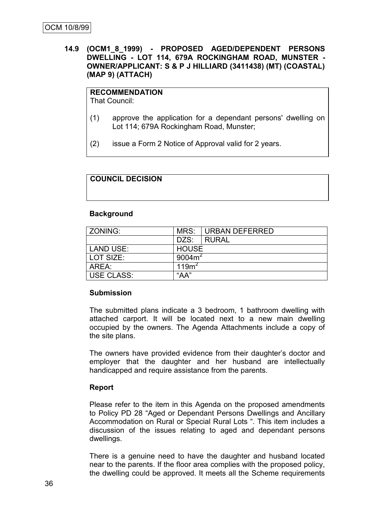#### **14.9 (OCM1\_8\_1999) - PROPOSED AGED/DEPENDENT PERSONS DWELLING - LOT 114, 679A ROCKINGHAM ROAD, MUNSTER - OWNER/APPLICANT: S & P J HILLIARD (3411438) (MT) (COASTAL) (MAP 9) (ATTACH)**

## **RECOMMENDATION**

That Council:

- (1) approve the application for a dependant persons' dwelling on Lot 114; 679A Rockingham Road, Munster;
- (2) issue a Form 2 Notice of Approval valid for 2 years.

#### **COUNCIL DECISION**

#### **Background**

| ZONING:           | MRS:              | URBAN DEFERRED |  |
|-------------------|-------------------|----------------|--|
|                   | DZS:              | I RURAL        |  |
| LAND USE:         | <b>HOUSE</b>      |                |  |
| LOT SIZE:         | 9004 $m2$         |                |  |
| AREA:             | 119m <sup>2</sup> |                |  |
| <b>USE CLASS:</b> | $A^*A$            |                |  |

#### **Submission**

The submitted plans indicate a 3 bedroom, 1 bathroom dwelling with attached carport. It will be located next to a new main dwelling occupied by the owners. The Agenda Attachments include a copy of the site plans.

The owners have provided evidence from their daughter"s doctor and employer that the daughter and her husband are intellectually handicapped and require assistance from the parents.

#### **Report**

Please refer to the item in this Agenda on the proposed amendments to Policy PD 28 "Aged or Dependant Persons Dwellings and Ancillary Accommodation on Rural or Special Rural Lots ". This item includes a discussion of the issues relating to aged and dependant persons dwellings.

There is a genuine need to have the daughter and husband located near to the parents. If the floor area complies with the proposed policy, the dwelling could be approved. It meets all the Scheme requirements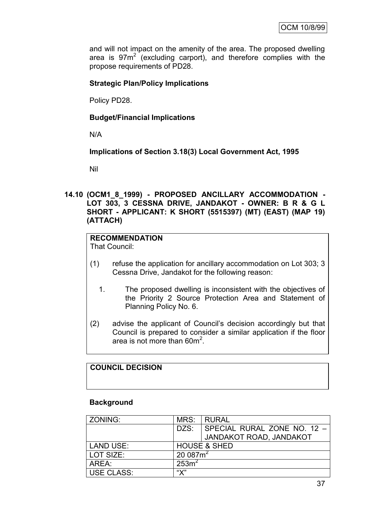and will not impact on the amenity of the area. The proposed dwelling area is  $97m^2$  (excluding carport), and therefore complies with the propose requirements of PD28.

## **Strategic Plan/Policy Implications**

Policy PD28.

#### **Budget/Financial Implications**

N/A

#### **Implications of Section 3.18(3) Local Government Act, 1995**

Nil

#### **14.10 (OCM1\_8\_1999) - PROPOSED ANCILLARY ACCOMMODATION - LOT 303, 3 CESSNA DRIVE, JANDAKOT - OWNER: B R & G L SHORT - APPLICANT: K SHORT (5515397) (MT) (EAST) (MAP 19) (ATTACH)**

# **RECOMMENDATION**

That Council:

- (1) refuse the application for ancillary accommodation on Lot 303; 3 Cessna Drive, Jandakot for the following reason:
	- 1. The proposed dwelling is inconsistent with the objectives of the Priority 2 Source Protection Area and Statement of Planning Policy No. 6.
- (2) advise the applicant of Council"s decision accordingly but that Council is prepared to consider a similar application if the floor area is not more than  $60m^2$ .

## **COUNCIL DECISION**

#### **Background**

| ZONING:          | MRS:                    | l RURAL                     |
|------------------|-------------------------|-----------------------------|
|                  | DZS:                    | SPECIAL RURAL ZONE NO. 12 - |
|                  |                         | JANDAKOT ROAD, JANDAKOT     |
| <b>LAND USE:</b> | <b>HOUSE &amp; SHED</b> |                             |
| LOT SIZE:        | 20 087 $m^2$            |                             |
| AREA:            | 253m <sup>2</sup>       |                             |
| USE CLASS:       | "V"                     |                             |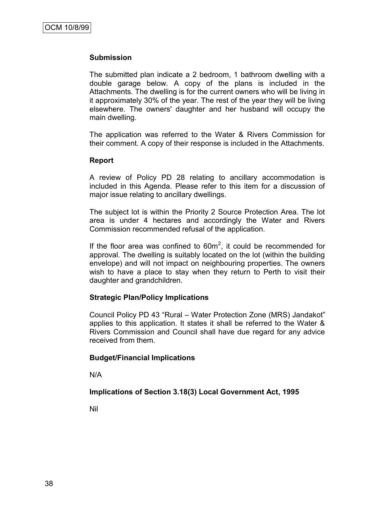#### **Submission**

The submitted plan indicate a 2 bedroom, 1 bathroom dwelling with a double garage below. A copy of the plans is included in the Attachments. The dwelling is for the current owners who will be living in it approximately 30% of the year. The rest of the year they will be living elsewhere. The owners' daughter and her husband will occupy the main dwelling.

The application was referred to the Water & Rivers Commission for their comment. A copy of their response is included in the Attachments.

#### **Report**

A review of Policy PD 28 relating to ancillary accommodation is included in this Agenda. Please refer to this item for a discussion of major issue relating to ancillary dwellings.

The subject lot is within the Priority 2 Source Protection Area. The lot area is under 4 hectares and accordingly the Water and Rivers Commission recommended refusal of the application.

If the floor area was confined to  $60m^2$ , it could be recommended for approval. The dwelling is suitably located on the lot (within the building envelope) and will not impact on neighbouring properties. The owners wish to have a place to stay when they return to Perth to visit their daughter and grandchildren.

#### **Strategic Plan/Policy Implications**

Council Policy PD 43 "Rural – Water Protection Zone (MRS) Jandakot" applies to this application. It states it shall be referred to the Water & Rivers Commission and Council shall have due regard for any advice received from them.

#### **Budget/Financial Implications**

N/A

#### **Implications of Section 3.18(3) Local Government Act, 1995**

Nil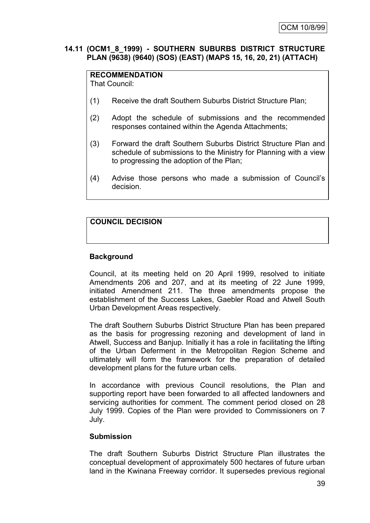#### **14.11 (OCM1\_8\_1999) - SOUTHERN SUBURBS DISTRICT STRUCTURE PLAN (9638) (9640) (SOS) (EAST) (MAPS 15, 16, 20, 21) (ATTACH)**

## **RECOMMENDATION**

That Council:

- (1) Receive the draft Southern Suburbs District Structure Plan;
- (2) Adopt the schedule of submissions and the recommended responses contained within the Agenda Attachments;
- (3) Forward the draft Southern Suburbs District Structure Plan and schedule of submissions to the Ministry for Planning with a view to progressing the adoption of the Plan;
- (4) Advise those persons who made a submission of Council"s decision.

## **COUNCIL DECISION**

#### **Background**

Council, at its meeting held on 20 April 1999, resolved to initiate Amendments 206 and 207, and at its meeting of 22 June 1999, initiated Amendment 211. The three amendments propose the establishment of the Success Lakes, Gaebler Road and Atwell South Urban Development Areas respectively.

The draft Southern Suburbs District Structure Plan has been prepared as the basis for progressing rezoning and development of land in Atwell, Success and Banjup. Initially it has a role in facilitating the lifting of the Urban Deferment in the Metropolitan Region Scheme and ultimately will form the framework for the preparation of detailed development plans for the future urban cells.

In accordance with previous Council resolutions, the Plan and supporting report have been forwarded to all affected landowners and servicing authorities for comment. The comment period closed on 28 July 1999. Copies of the Plan were provided to Commissioners on 7 July.

#### **Submission**

The draft Southern Suburbs District Structure Plan illustrates the conceptual development of approximately 500 hectares of future urban land in the Kwinana Freeway corridor. It supersedes previous regional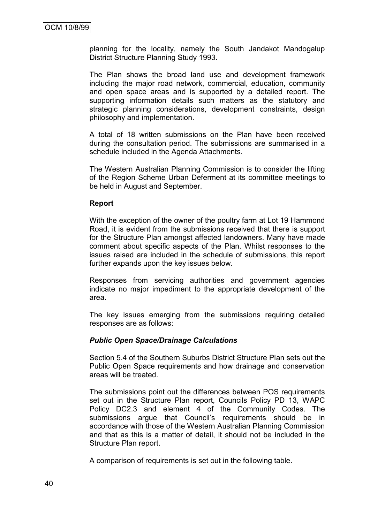planning for the locality, namely the South Jandakot Mandogalup District Structure Planning Study 1993.

The Plan shows the broad land use and development framework including the major road network, commercial, education, community and open space areas and is supported by a detailed report. The supporting information details such matters as the statutory and strategic planning considerations, development constraints, design philosophy and implementation.

A total of 18 written submissions on the Plan have been received during the consultation period. The submissions are summarised in a schedule included in the Agenda Attachments.

The Western Australian Planning Commission is to consider the lifting of the Region Scheme Urban Deferment at its committee meetings to be held in August and September.

#### **Report**

With the exception of the owner of the poultry farm at Lot 19 Hammond Road, it is evident from the submissions received that there is support for the Structure Plan amongst affected landowners. Many have made comment about specific aspects of the Plan. Whilst responses to the issues raised are included in the schedule of submissions, this report further expands upon the key issues below.

Responses from servicing authorities and government agencies indicate no major impediment to the appropriate development of the area.

The key issues emerging from the submissions requiring detailed responses are as follows:

#### *Public Open Space/Drainage Calculations*

Section 5.4 of the Southern Suburbs District Structure Plan sets out the Public Open Space requirements and how drainage and conservation areas will be treated.

The submissions point out the differences between POS requirements set out in the Structure Plan report, Councils Policy PD 13, WAPC Policy DC2.3 and element 4 of the Community Codes. The submissions argue that Council's requirements should be in accordance with those of the Western Australian Planning Commission and that as this is a matter of detail, it should not be included in the Structure Plan report.

A comparison of requirements is set out in the following table.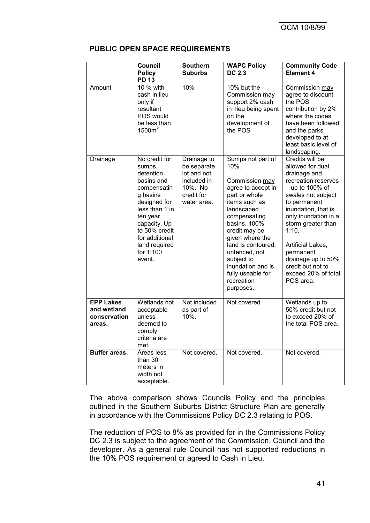|                                                           | <b>Council</b><br><b>Policy</b>                                                                                                                                                                                        | <b>Southern</b><br><b>Suburbs</b>                                                                | <b>WAPC Policy</b><br><b>DC 2.3</b>                                                                                                                                                                                                                                                                             | <b>Community Code</b><br><b>Element 4</b>                                                                                                                                                                                                                                                                                            |
|-----------------------------------------------------------|------------------------------------------------------------------------------------------------------------------------------------------------------------------------------------------------------------------------|--------------------------------------------------------------------------------------------------|-----------------------------------------------------------------------------------------------------------------------------------------------------------------------------------------------------------------------------------------------------------------------------------------------------------------|--------------------------------------------------------------------------------------------------------------------------------------------------------------------------------------------------------------------------------------------------------------------------------------------------------------------------------------|
| Amount                                                    | <b>PD 13</b><br>10 % with<br>cash in lieu<br>only if<br>resultant<br>POS would<br>be less than<br>1500m <sup>2</sup>                                                                                                   | 10%                                                                                              | 10% but the<br>Commission may<br>support 2% cash<br>in lieu being spent<br>on the<br>development of<br>the POS                                                                                                                                                                                                  | Commission may<br>agree to discount<br>the POS<br>contribution by 2%<br>where the codes<br>have been followed<br>and the parks<br>developed to at<br>least basic level of<br>landscaping.                                                                                                                                            |
| Drainage                                                  | No credit for<br>sumps,<br>detention<br>basins and<br>compensatin<br>g basins<br>designed for<br>less than 1 in<br>ten year<br>capacity. Up<br>to 50% credit<br>for additional<br>land required<br>for 1:100<br>event. | Drainage to<br>be separate<br>lot and not<br>included in<br>10%. No<br>credit for<br>water area. | Sumps not part of<br>10%.<br>Commission may<br>agree to accept in<br>part or whole<br>items such as<br>landscaped<br>compensating<br>basins. 100%<br>credit may be<br>given where the<br>land is contoured,<br>unfenced, not<br>subject to<br>inundation and is<br>fully useable for<br>recreation<br>purposes. | Credits will be<br>allowed for dual<br>drainage and<br>recreation reserves<br>$-$ up to 100% of<br>swales not subject<br>to permanent<br>inundation, that is<br>only inundation in a<br>storm greater than<br>1:10.<br>Artificial Lakes,<br>permanent<br>drainage up to 50%<br>credit but not to<br>exceed 20% of total<br>POS area. |
| <b>EPP Lakes</b><br>and wetland<br>conservation<br>areas. | Wetlands not<br>acceptable<br>unless<br>deemed to<br>comply<br>criteria are<br>met.                                                                                                                                    | Not included<br>as part of<br>10%.                                                               | Not covered.                                                                                                                                                                                                                                                                                                    | Wetlands up to<br>50% credit but not<br>to exceed 20% of<br>the total POS area.                                                                                                                                                                                                                                                      |
| <b>Buffer areas.</b>                                      | Areas less<br>than 30<br>meters in<br>width not<br>acceptable.                                                                                                                                                         | Not covered.                                                                                     | Not covered.                                                                                                                                                                                                                                                                                                    | Not covered.                                                                                                                                                                                                                                                                                                                         |

#### **PUBLIC OPEN SPACE REQUIREMENTS**

The above comparison shows Councils Policy and the principles outlined in the Southern Suburbs District Structure Plan are generally in accordance with the Commissions Policy DC 2.3 relating to POS.

The reduction of POS to 8% as provided for in the Commissions Policy DC 2.3 is subject to the agreement of the Commission, Council and the developer. As a general rule Council has not supported reductions in the 10% POS requirement or agreed to Cash in Lieu.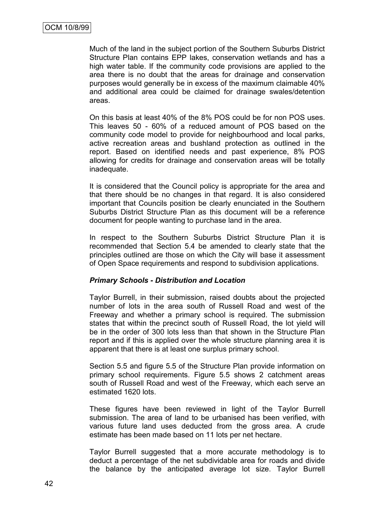Much of the land in the subject portion of the Southern Suburbs District Structure Plan contains EPP lakes, conservation wetlands and has a high water table. If the community code provisions are applied to the area there is no doubt that the areas for drainage and conservation purposes would generally be in excess of the maximum claimable 40% and additional area could be claimed for drainage swales/detention areas.

On this basis at least 40% of the 8% POS could be for non POS uses. This leaves 50 - 60% of a reduced amount of POS based on the community code model to provide for neighbourhood and local parks, active recreation areas and bushland protection as outlined in the report. Based on identified needs and past experience, 8% POS allowing for credits for drainage and conservation areas will be totally inadequate.

It is considered that the Council policy is appropriate for the area and that there should be no changes in that regard. It is also considered important that Councils position be clearly enunciated in the Southern Suburbs District Structure Plan as this document will be a reference document for people wanting to purchase land in the area.

In respect to the Southern Suburbs District Structure Plan it is recommended that Section 5.4 be amended to clearly state that the principles outlined are those on which the City will base it assessment of Open Space requirements and respond to subdivision applications.

#### *Primary Schools - Distribution and Location*

Taylor Burrell, in their submission, raised doubts about the projected number of lots in the area south of Russell Road and west of the Freeway and whether a primary school is required. The submission states that within the precinct south of Russell Road, the lot yield will be in the order of 300 lots less than that shown in the Structure Plan report and if this is applied over the whole structure planning area it is apparent that there is at least one surplus primary school.

Section 5.5 and figure 5.5 of the Structure Plan provide information on primary school requirements. Figure 5.5 shows 2 catchment areas south of Russell Road and west of the Freeway, which each serve an estimated 1620 lots.

These figures have been reviewed in light of the Taylor Burrell submission. The area of land to be urbanised has been verified, with various future land uses deducted from the gross area. A crude estimate has been made based on 11 lots per net hectare.

Taylor Burrell suggested that a more accurate methodology is to deduct a percentage of the net subdividable area for roads and divide the balance by the anticipated average lot size. Taylor Burrell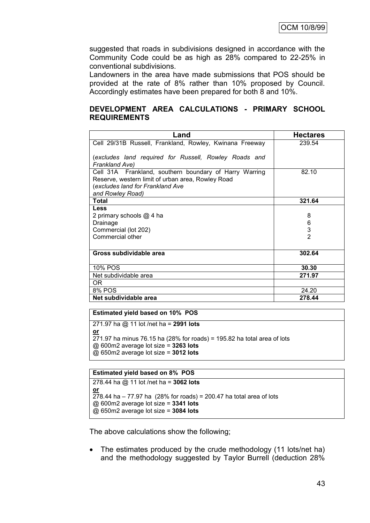suggested that roads in subdivisions designed in accordance with the Community Code could be as high as 28% compared to 22-25% in conventional subdivisions.

Landowners in the area have made submissions that POS should be provided at the rate of 8% rather than 10% proposed by Council. Accordingly estimates have been prepared for both 8 and 10%.

#### **DEVELOPMENT AREA CALCULATIONS - PRIMARY SCHOOL REQUIREMENTS**

| Land                                                                    | <b>Hectares</b> |
|-------------------------------------------------------------------------|-----------------|
| Cell 29/31B Russell, Frankland, Rowley, Kwinana Freeway                 | 239.54          |
|                                                                         |                 |
| (excludes land required for Russell, Rowley Roads and<br>Frankland Ave) |                 |
| Cell 31A Frankland, southern boundary of Harry Warring                  | 82.10           |
| Reserve, western limit of urban area, Rowley Road                       |                 |
| (excludes land for Frankland Ave                                        |                 |
| and Rowley Road)                                                        |                 |
| <b>Total</b>                                                            | 321.64          |
| Less                                                                    |                 |
| 2 primary schools @ 4 ha                                                | 8               |
| Drainage                                                                | 6               |
| Commercial (lot 202)                                                    | 3               |
| Commercial other                                                        | $\mathfrak{p}$  |
|                                                                         |                 |
| Gross subdividable area                                                 | 302.64          |
| 10% POS                                                                 | 30.30           |
| Net subdividable area                                                   | 271.97          |
| OR.                                                                     |                 |
| 8% POS                                                                  | 24.20           |
| Net subdividable area                                                   | 278.44          |

#### **Estimated yield based on 10% POS**

271.97 ha @ 11 lot /net ha = **2991 lots or**  $271.97$  ha minus 76.15 ha (28% for roads) = 195.82 ha total area of lots @ 600m2 average lot size = **3263 lots** @ 650m2 average lot size = **3012 lots**

#### **Estimated yield based on 8% POS**

```
278.44 ha @ 11 lot /net ha = 3062 lots
or
278.44 ha – 77.97 ha (28% for roads) = 200.47 ha total area of lots
@ 600m2 average lot size = 3341 lots
@ 650m2 average lot size = 3084 lots
```
The above calculations show the following;

• The estimates produced by the crude methodology (11 lots/net ha) and the methodology suggested by Taylor Burrell (deduction 28%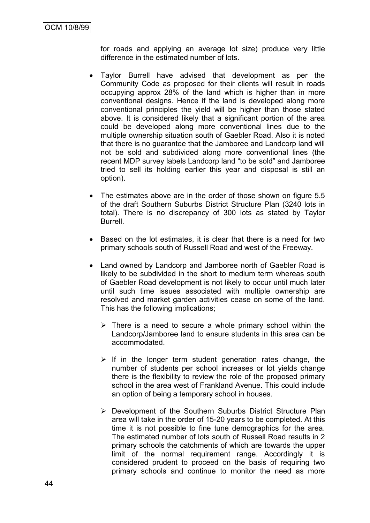for roads and applying an average lot size) produce very little difference in the estimated number of lots.

- Taylor Burrell have advised that development as per the Community Code as proposed for their clients will result in roads occupying approx 28% of the land which is higher than in more conventional designs. Hence if the land is developed along more conventional principles the yield will be higher than those stated above. It is considered likely that a significant portion of the area could be developed along more conventional lines due to the multiple ownership situation south of Gaebler Road. Also it is noted that there is no guarantee that the Jamboree and Landcorp land will not be sold and subdivided along more conventional lines (the recent MDP survey labels Landcorp land "to be sold" and Jamboree tried to sell its holding earlier this year and disposal is still an option).
- The estimates above are in the order of those shown on figure 5.5 of the draft Southern Suburbs District Structure Plan (3240 lots in total). There is no discrepancy of 300 lots as stated by Taylor Burrell.
- Based on the lot estimates, it is clear that there is a need for two primary schools south of Russell Road and west of the Freeway.
- Land owned by Landcorp and Jamboree north of Gaebler Road is likely to be subdivided in the short to medium term whereas south of Gaebler Road development is not likely to occur until much later until such time issues associated with multiple ownership are resolved and market garden activities cease on some of the land. This has the following implications;
	- $\triangleright$  There is a need to secure a whole primary school within the Landcorp/Jamboree land to ensure students in this area can be accommodated.
	- $\triangleright$  If in the longer term student generation rates change, the number of students per school increases or lot yields change there is the flexibility to review the role of the proposed primary school in the area west of Frankland Avenue. This could include an option of being a temporary school in houses.
	- Development of the Southern Suburbs District Structure Plan area will take in the order of 15-20 years to be completed. At this time it is not possible to fine tune demographics for the area. The estimated number of lots south of Russell Road results in 2 primary schools the catchments of which are towards the upper limit of the normal requirement range. Accordingly it is considered prudent to proceed on the basis of requiring two primary schools and continue to monitor the need as more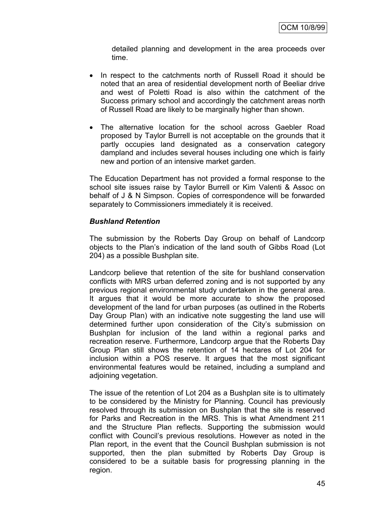detailed planning and development in the area proceeds over time.

- In respect to the catchments north of Russell Road it should be noted that an area of residential development north of Beeliar drive and west of Poletti Road is also within the catchment of the Success primary school and accordingly the catchment areas north of Russell Road are likely to be marginally higher than shown.
- The alternative location for the school across Gaebler Road proposed by Taylor Burrell is not acceptable on the grounds that it partly occupies land designated as a conservation category dampland and includes several houses including one which is fairly new and portion of an intensive market garden.

The Education Department has not provided a formal response to the school site issues raise by Taylor Burrell or Kim Valenti & Assoc on behalf of J & N Simpson. Copies of correspondence will be forwarded separately to Commissioners immediately it is received.

## *Bushland Retention*

The submission by the Roberts Day Group on behalf of Landcorp objects to the Plan"s indication of the land south of Gibbs Road (Lot 204) as a possible Bushplan site.

Landcorp believe that retention of the site for bushland conservation conflicts with MRS urban deferred zoning and is not supported by any previous regional environmental study undertaken in the general area. It argues that it would be more accurate to show the proposed development of the land for urban purposes (as outlined in the Roberts Day Group Plan) with an indicative note suggesting the land use will determined further upon consideration of the City"s submission on Bushplan for inclusion of the land within a regional parks and recreation reserve. Furthermore, Landcorp argue that the Roberts Day Group Plan still shows the retention of 14 hectares of Lot 204 for inclusion within a POS reserve. It argues that the most significant environmental features would be retained, including a sumpland and adjoining vegetation.

The issue of the retention of Lot 204 as a Bushplan site is to ultimately to be considered by the Ministry for Planning. Council has previously resolved through its submission on Bushplan that the site is reserved for Parks and Recreation in the MRS. This is what Amendment 211 and the Structure Plan reflects. Supporting the submission would conflict with Council"s previous resolutions. However as noted in the Plan report, in the event that the Council Bushplan submission is not supported, then the plan submitted by Roberts Day Group is considered to be a suitable basis for progressing planning in the region.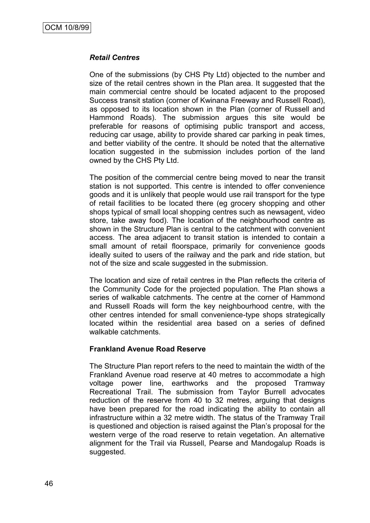#### *Retail Centres*

One of the submissions (by CHS Pty Ltd) objected to the number and size of the retail centres shown in the Plan area. It suggested that the main commercial centre should be located adjacent to the proposed Success transit station (corner of Kwinana Freeway and Russell Road), as opposed to its location shown in the Plan (corner of Russell and Hammond Roads). The submission argues this site would be preferable for reasons of optimising public transport and access, reducing car usage, ability to provide shared car parking in peak times, and better viability of the centre. It should be noted that the alternative location suggested in the submission includes portion of the land owned by the CHS Pty Ltd.

The position of the commercial centre being moved to near the transit station is not supported. This centre is intended to offer convenience goods and it is unlikely that people would use rail transport for the type of retail facilities to be located there (eg grocery shopping and other shops typical of small local shopping centres such as newsagent, video store, take away food). The location of the neighbourhood centre as shown in the Structure Plan is central to the catchment with convenient access. The area adjacent to transit station is intended to contain a small amount of retail floorspace, primarily for convenience goods ideally suited to users of the railway and the park and ride station, but not of the size and scale suggested in the submission.

The location and size of retail centres in the Plan reflects the criteria of the Community Code for the projected population. The Plan shows a series of walkable catchments. The centre at the corner of Hammond and Russell Roads will form the key neighbourhood centre, with the other centres intended for small convenience-type shops strategically located within the residential area based on a series of defined walkable catchments.

#### **Frankland Avenue Road Reserve**

The Structure Plan report refers to the need to maintain the width of the Frankland Avenue road reserve at 40 metres to accommodate a high voltage power line, earthworks and the proposed Tramway Recreational Trail. The submission from Taylor Burrell advocates reduction of the reserve from 40 to 32 metres, arguing that designs have been prepared for the road indicating the ability to contain all infrastructure within a 32 metre width. The status of the Tramway Trail is questioned and objection is raised against the Plan"s proposal for the western verge of the road reserve to retain vegetation. An alternative alignment for the Trail via Russell, Pearse and Mandogalup Roads is suggested.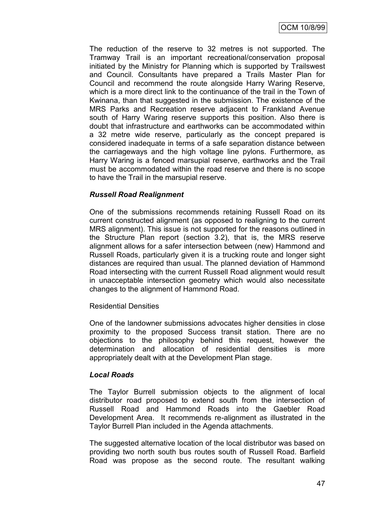The reduction of the reserve to 32 metres is not supported. The Tramway Trail is an important recreational/conservation proposal initiated by the Ministry for Planning which is supported by Trailswest and Council. Consultants have prepared a Trails Master Plan for Council and recommend the route alongside Harry Waring Reserve, which is a more direct link to the continuance of the trail in the Town of Kwinana, than that suggested in the submission. The existence of the MRS Parks and Recreation reserve adjacent to Frankland Avenue south of Harry Waring reserve supports this position. Also there is doubt that infrastructure and earthworks can be accommodated within a 32 metre wide reserve, particularly as the concept prepared is considered inadequate in terms of a safe separation distance between the carriageways and the high voltage line pylons. Furthermore, as Harry Waring is a fenced marsupial reserve, earthworks and the Trail must be accommodated within the road reserve and there is no scope to have the Trail in the marsupial reserve.

## *Russell Road Realignment*

One of the submissions recommends retaining Russell Road on its current constructed alignment (as opposed to realigning to the current MRS alignment). This issue is not supported for the reasons outlined in the Structure Plan report (section 3.2), that is, the MRS reserve alignment allows for a safer intersection between (new) Hammond and Russell Roads, particularly given it is a trucking route and longer sight distances are required than usual. The planned deviation of Hammond Road intersecting with the current Russell Road alignment would result in unacceptable intersection geometry which would also necessitate changes to the alignment of Hammond Road.

#### Residential Densities

One of the landowner submissions advocates higher densities in close proximity to the proposed Success transit station. There are no objections to the philosophy behind this request, however the determination and allocation of residential densities is more appropriately dealt with at the Development Plan stage.

#### *Local Roads*

The Taylor Burrell submission objects to the alignment of local distributor road proposed to extend south from the intersection of Russell Road and Hammond Roads into the Gaebler Road Development Area. It recommends re-alignment as illustrated in the Taylor Burrell Plan included in the Agenda attachments.

The suggested alternative location of the local distributor was based on providing two north south bus routes south of Russell Road. Barfield Road was propose as the second route. The resultant walking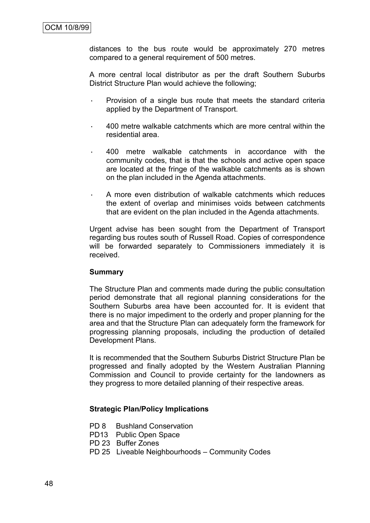distances to the bus route would be approximately 270 metres compared to a general requirement of 500 metres.

A more central local distributor as per the draft Southern Suburbs District Structure Plan would achieve the following;

- Provision of a single bus route that meets the standard criteria applied by the Department of Transport.
- · 400 metre walkable catchments which are more central within the residential area.
- · 400 metre walkable catchments in accordance with the community codes, that is that the schools and active open space are located at the fringe of the walkable catchments as is shown on the plan included in the Agenda attachments.
- A more even distribution of walkable catchments which reduces the extent of overlap and minimises voids between catchments that are evident on the plan included in the Agenda attachments.

Urgent advise has been sought from the Department of Transport regarding bus routes south of Russell Road. Copies of correspondence will be forwarded separately to Commissioners immediately it is received.

#### **Summary**

The Structure Plan and comments made during the public consultation period demonstrate that all regional planning considerations for the Southern Suburbs area have been accounted for. It is evident that there is no major impediment to the orderly and proper planning for the area and that the Structure Plan can adequately form the framework for progressing planning proposals, including the production of detailed Development Plans.

It is recommended that the Southern Suburbs District Structure Plan be progressed and finally adopted by the Western Australian Planning Commission and Council to provide certainty for the landowners as they progress to more detailed planning of their respective areas.

#### **Strategic Plan/Policy Implications**

- PD 8 Bushland Conservation
- PD13 Public Open Space
- PD 23 Buffer Zones
- PD 25 Liveable Neighbourhoods Community Codes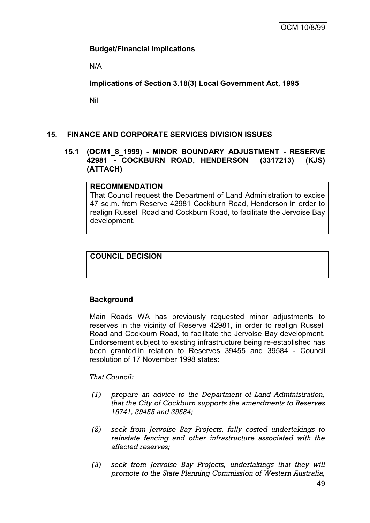## **Budget/Financial Implications**

N/A

**Implications of Section 3.18(3) Local Government Act, 1995**

Nil

## **15. FINANCE AND CORPORATE SERVICES DIVISION ISSUES**

#### **15.1 (OCM1\_8\_1999) - MINOR BOUNDARY ADJUSTMENT - RESERVE 42981 - COCKBURN ROAD, HENDERSON (3317213) (KJS) (ATTACH)**

#### **RECOMMENDATION**

That Council request the Department of Land Administration to excise 47 sq.m. from Reserve 42981 Cockburn Road, Henderson in order to realign Russell Road and Cockburn Road, to facilitate the Jervoise Bay development.

## **COUNCIL DECISION**

## **Background**

Main Roads WA has previously requested minor adjustments to reserves in the vicinity of Reserve 42981, in order to realign Russell Road and Cockburn Road, to facilitate the Jervoise Bay development. Endorsement subject to existing infrastructure being re-established has been granted,in relation to Reserves 39455 and 39584 - Council resolution of 17 November 1998 states:

*That Council:*

- *(1) prepare an advice to the Department of Land Administration, that the City of Cockburn supports the amendments to Reserves 15741, 39455 and 39584;*
- *(2) seek from Jervoise Bay Projects, fully costed undertakings to reinstate fencing and other infrastructure associated with the affected reserves;*
- *(3) seek from Jervoise Bay Projects, undertakings that they will promote to the State Planning Commission of Western Australia,*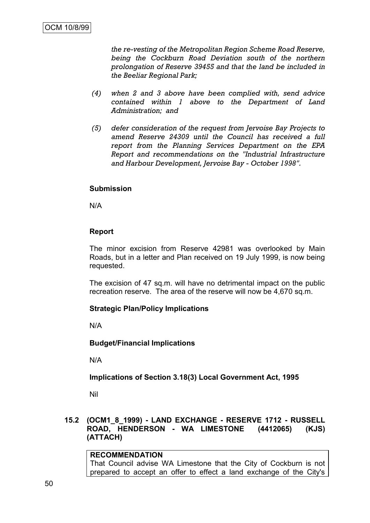*the re-vesting of the Metropolitan Region Scheme Road Reserve, being the Cockburn Road Deviation south of the northern prolongation of Reserve 39455 and that the land be included in the Beeliar Regional Park;* 

- *(4) when 2 and 3 above have been complied with, send advice contained within 1 above to the Department of Land Administration; and*
- *(5) defer consideration of the request from Jervoise Bay Projects to amend Reserve 24309 until the Council has received a full report from the Planning Services Department on the EPA Report and recommendations on the "Industrial Infrastructure and Harbour Development, Jervoise Bay - October 1998".*

#### **Submission**

N/A

#### **Report**

The minor excision from Reserve 42981 was overlooked by Main Roads, but in a letter and Plan received on 19 July 1999, is now being requested.

The excision of 47 sq.m. will have no detrimental impact on the public recreation reserve. The area of the reserve will now be 4,670 sq.m.

#### **Strategic Plan/Policy Implications**

N/A

**Budget/Financial Implications**

N/A

#### **Implications of Section 3.18(3) Local Government Act, 1995**

Nil

#### **15.2 (OCM1\_8\_1999) - LAND EXCHANGE - RESERVE 1712 - RUSSELL ROAD, HENDERSON - WA LIMESTONE (4412065) (KJS) (ATTACH)**

#### **RECOMMENDATION** That Council advise WA Limestone that the City of Cockburn is not prepared to accept an offer to effect a land exchange of the City's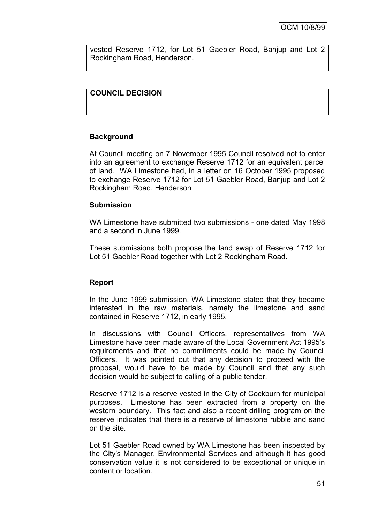vested Reserve 1712, for Lot 51 Gaebler Road, Banjup and Lot 2 Rockingham Road, Henderson.

## **COUNCIL DECISION**

#### **Background**

At Council meeting on 7 November 1995 Council resolved not to enter into an agreement to exchange Reserve 1712 for an equivalent parcel of land. WA Limestone had, in a letter on 16 October 1995 proposed to exchange Reserve 1712 for Lot 51 Gaebler Road, Banjup and Lot 2 Rockingham Road, Henderson

#### **Submission**

WA Limestone have submitted two submissions - one dated May 1998 and a second in June 1999.

These submissions both propose the land swap of Reserve 1712 for Lot 51 Gaebler Road together with Lot 2 Rockingham Road.

#### **Report**

In the June 1999 submission, WA Limestone stated that they became interested in the raw materials, namely the limestone and sand contained in Reserve 1712, in early 1995.

In discussions with Council Officers, representatives from WA Limestone have been made aware of the Local Government Act 1995's requirements and that no commitments could be made by Council Officers. It was pointed out that any decision to proceed with the proposal, would have to be made by Council and that any such decision would be subject to calling of a public tender.

Reserve 1712 is a reserve vested in the City of Cockburn for municipal purposes. Limestone has been extracted from a property on the western boundary. This fact and also a recent drilling program on the reserve indicates that there is a reserve of limestone rubble and sand on the site.

Lot 51 Gaebler Road owned by WA Limestone has been inspected by the City's Manager, Environmental Services and although it has good conservation value it is not considered to be exceptional or unique in content or location.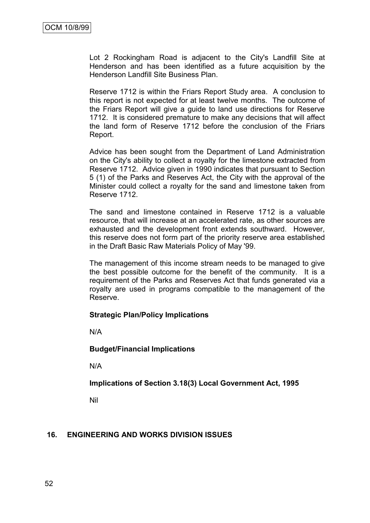Lot 2 Rockingham Road is adjacent to the City's Landfill Site at Henderson and has been identified as a future acquisition by the Henderson Landfill Site Business Plan.

Reserve 1712 is within the Friars Report Study area. A conclusion to this report is not expected for at least twelve months. The outcome of the Friars Report will give a guide to land use directions for Reserve 1712. It is considered premature to make any decisions that will affect the land form of Reserve 1712 before the conclusion of the Friars Report.

Advice has been sought from the Department of Land Administration on the City's ability to collect a royalty for the limestone extracted from Reserve 1712. Advice given in 1990 indicates that pursuant to Section 5 (1) of the Parks and Reserves Act, the City with the approval of the Minister could collect a royalty for the sand and limestone taken from Reserve 1712.

The sand and limestone contained in Reserve 1712 is a valuable resource, that will increase at an accelerated rate, as other sources are exhausted and the development front extends southward. However, this reserve does not form part of the priority reserve area established in the Draft Basic Raw Materials Policy of May '99.

The management of this income stream needs to be managed to give the best possible outcome for the benefit of the community. It is a requirement of the Parks and Reserves Act that funds generated via a royalty are used in programs compatible to the management of the Reserve.

#### **Strategic Plan/Policy Implications**

N/A

#### **Budget/Financial Implications**

N/A

#### **Implications of Section 3.18(3) Local Government Act, 1995**

Nil

#### **16. ENGINEERING AND WORKS DIVISION ISSUES**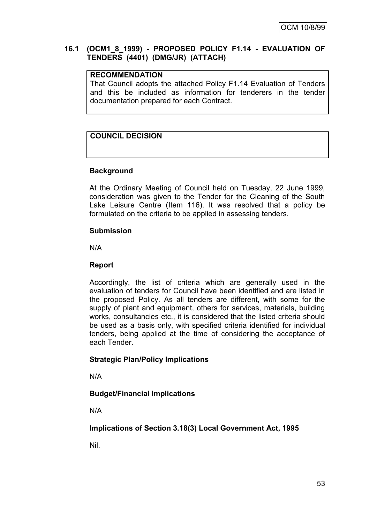#### **16.1 (OCM1\_8\_1999) - PROPOSED POLICY F1.14 - EVALUATION OF TENDERS (4401) (DMG/JR) (ATTACH)**

#### **RECOMMENDATION**

That Council adopts the attached Policy F1.14 Evaluation of Tenders and this be included as information for tenderers in the tender documentation prepared for each Contract.

## **COUNCIL DECISION**

#### **Background**

At the Ordinary Meeting of Council held on Tuesday, 22 June 1999, consideration was given to the Tender for the Cleaning of the South Lake Leisure Centre (Item 116). It was resolved that a policy be formulated on the criteria to be applied in assessing tenders.

#### **Submission**

N/A

#### **Report**

Accordingly, the list of criteria which are generally used in the evaluation of tenders for Council have been identified and are listed in the proposed Policy. As all tenders are different, with some for the supply of plant and equipment, others for services, materials, building works, consultancies etc., it is considered that the listed criteria should be used as a basis only, with specified criteria identified for individual tenders, being applied at the time of considering the acceptance of each Tender.

#### **Strategic Plan/Policy Implications**

N/A

#### **Budget/Financial Implications**

N/A

**Implications of Section 3.18(3) Local Government Act, 1995**

Nil.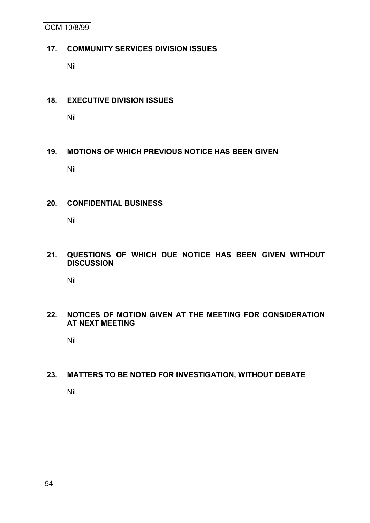OCM 10/8/99

#### **17. COMMUNITY SERVICES DIVISION ISSUES**

Nil

#### **18. EXECUTIVE DIVISION ISSUES**

Nil

## **19. MOTIONS OF WHICH PREVIOUS NOTICE HAS BEEN GIVEN**

Nil

## **20. CONFIDENTIAL BUSINESS**

Nil

## **21. QUESTIONS OF WHICH DUE NOTICE HAS BEEN GIVEN WITHOUT DISCUSSION**

Nil

## **22. NOTICES OF MOTION GIVEN AT THE MEETING FOR CONSIDERATION AT NEXT MEETING**

Nil

## **23. MATTERS TO BE NOTED FOR INVESTIGATION, WITHOUT DEBATE**

Nil